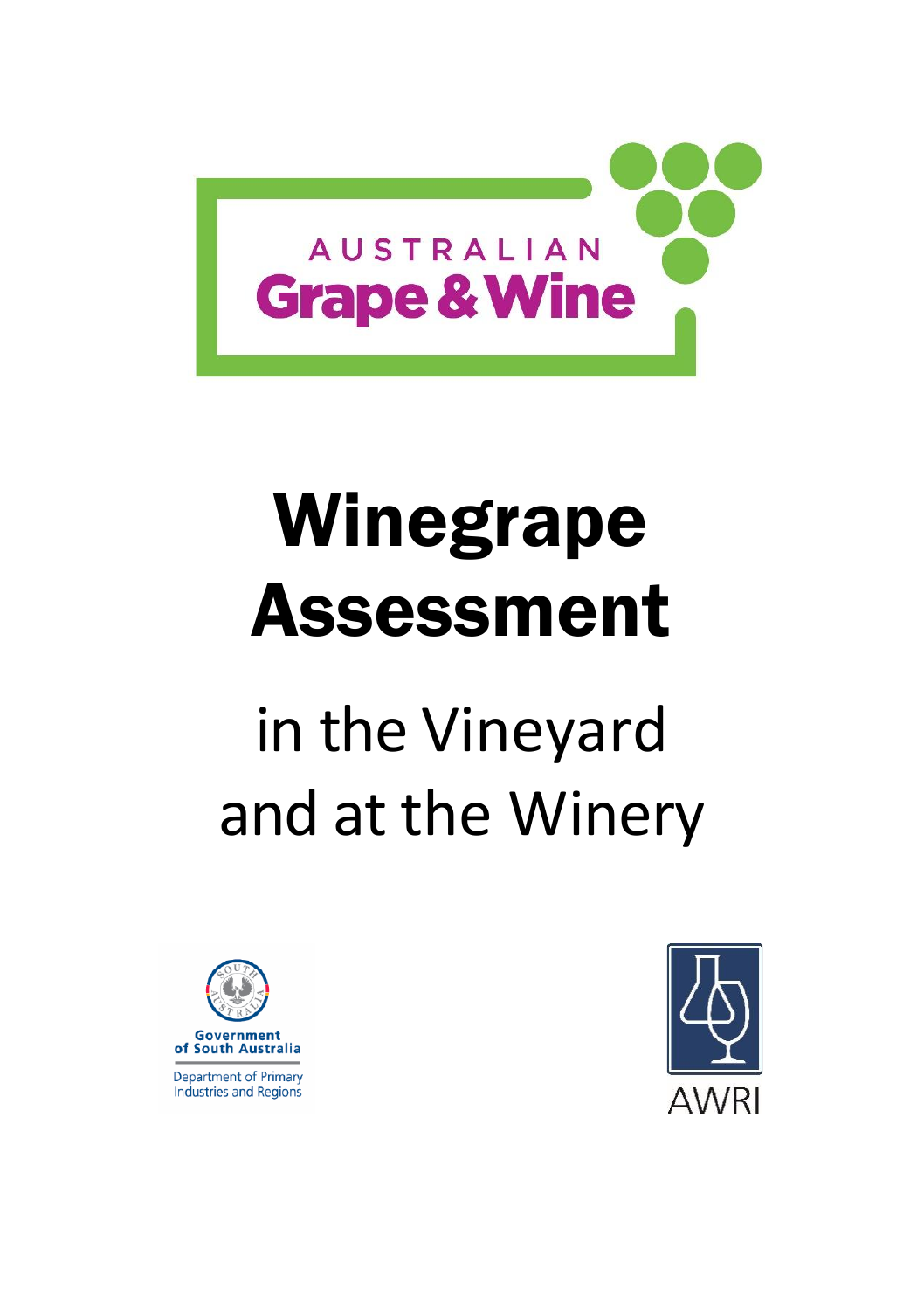

# Winegrape Assessment

## in the Vineyard and at the Winery



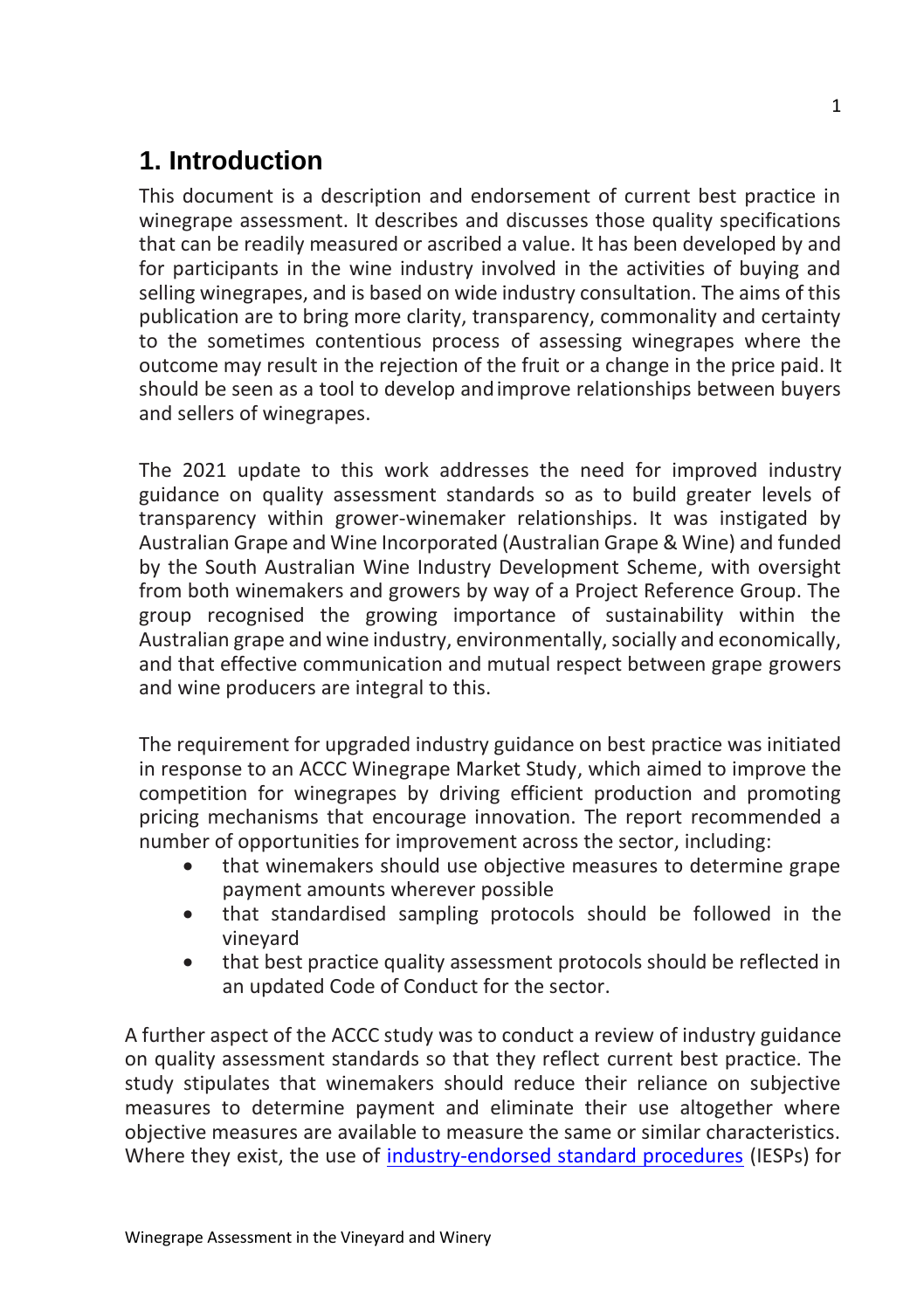## **1. Introduction**

This document is a description and endorsement of current best practice in winegrape assessment. It describes and discusses those quality specifications that can be readily measured or ascribed a value. It has been developed by and for participants in the wine industry involved in the activities of buying and selling winegrapes, and is based on wide industry consultation. The aims of this publication are to bring more clarity, transparency, commonality and certainty to the sometimes contentious process of assessing winegrapes where the outcome may result in the rejection of the fruit or a change in the price paid. It should be seen as a tool to develop andimprove relationships between buyers and sellers of winegrapes.

The 2021 update to this work addresses the need for improved industry guidance on quality assessment standards so as to build greater levels of transparency within grower-winemaker relationships. It was instigated by Australian Grape and Wine Incorporated (Australian Grape & Wine) and funded by the South Australian Wine Industry Development Scheme, with oversight from both winemakers and growers by way of a Project Reference Group. The group recognised the growing importance of sustainability within the Australian grape and wine industry, environmentally, socially and economically, and that effective communication and mutual respect between grape growers and wine producers are integral to this.

The requirement for upgraded industry guidance on best practice was initiated in response to an ACCC Winegrape Market Study, which aimed to improve the competition for winegrapes by driving efficient production and promoting pricing mechanisms that encourage innovation. The report recommended a number of opportunities for improvement across the sector, including:

- that winemakers should use objective measures to determine grape payment amounts wherever possible
- that standardised sampling protocols should be followed in the vineyard
- that best practice quality assessment protocols should be reflected in an updated Code of Conduct for the sector.

A further aspect of the ACCC study was to conduct a review of industry guidance on quality assessment standards so that they reflect current best practice. The study stipulates that winemakers should reduce their reliance on subjective measures to determine payment and eliminate their use altogether where objective measures are available to measure the same or similar characteristics. Where they exist, the use of [industry-endorsed standard procedures](http://www.wineindustrycode.org/supporting-information/) (IESPs) for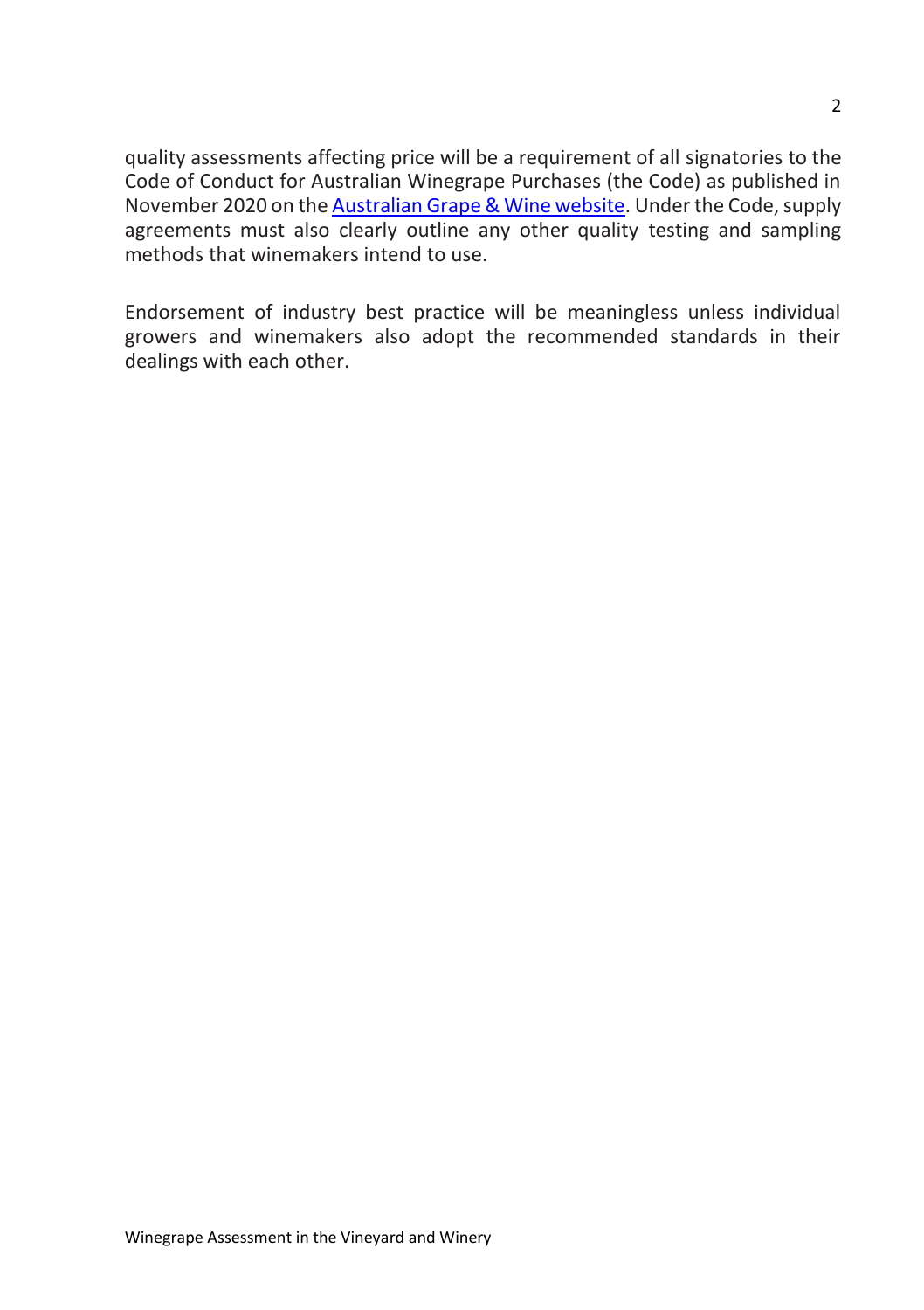quality assessments affecting price will be a requirement of all signatories to the Code of Conduct for Australian Winegrape Purchases (the Code) as published in November 2020 on th[e Australian Grape & Wine website.](https://www.agw.org.au/) Under the Code, supply agreements must also clearly outline any other quality testing and sampling methods that winemakers intend to use.

Endorsement of industry best practice will be meaningless unless individual growers and winemakers also adopt the recommended standards in their dealings with each other.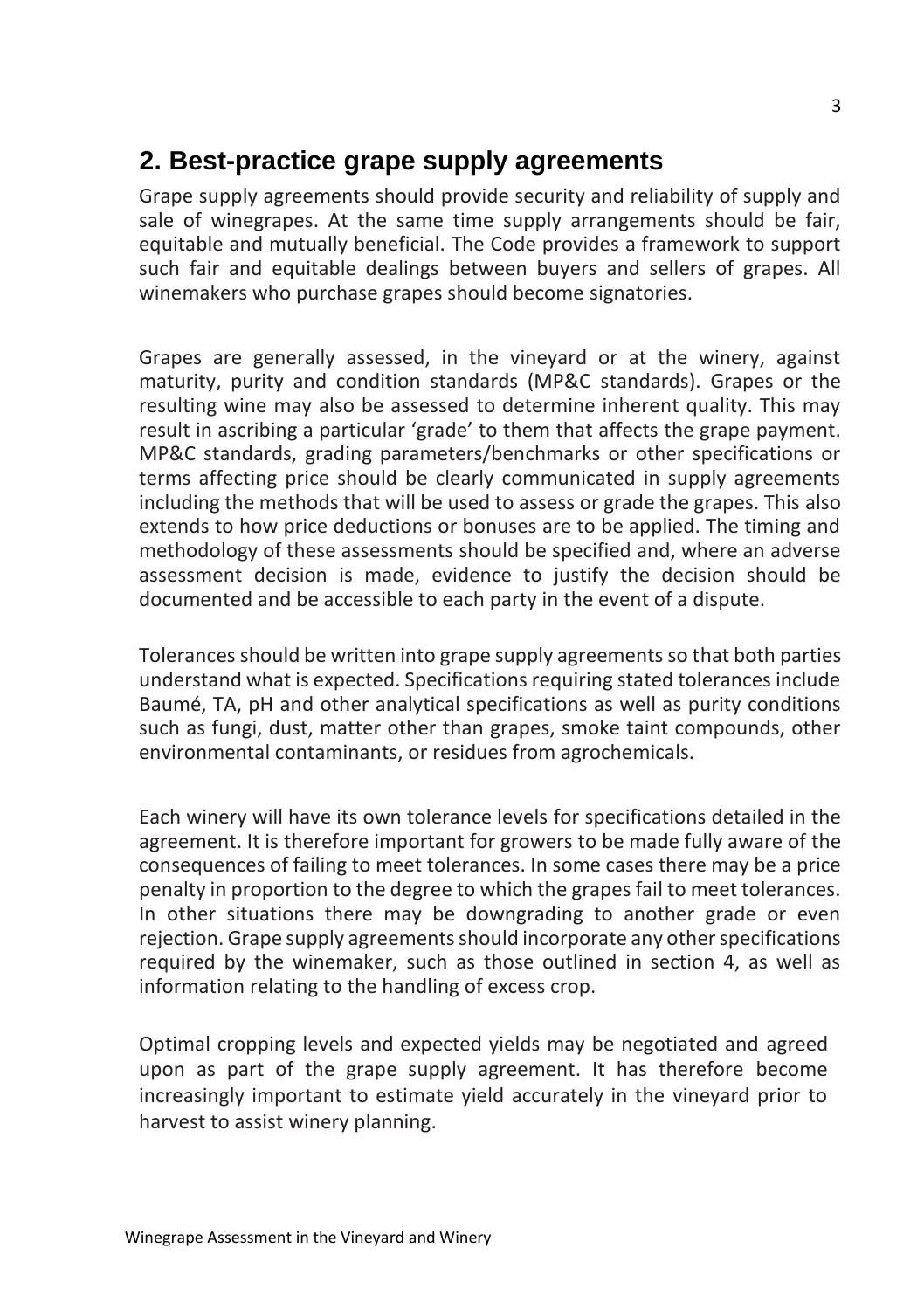## **2. Best-practice grape supply agreements**

Grape supply agreements should provide security and reliability of supply and sale of winegrapes. At the same time supply arrangements should be fair, equitable and mutually beneficial. The Code provides a framework to support such fair and equitable dealings between buyers and sellers of grapes. All winemakers who purchase grapes should become signatories.

Grapes are generally assessed, in the vineyard or at the winery, against maturity, purity and condition standards (MP&C standards). Grapes or the resulting wine may also be assessed to determine inherent quality. This may result in ascribing a particular 'grade' to them that affects the grape payment. MP&C standards, grading parameters/benchmarks or other specifications or terms affecting price should be clearly communicated in supply agreements including the methods that will be used to assess or grade the grapes. This also extends to how price deductions or bonuses are to be applied. The timing and methodology of these assessments should be specified and, where an adverse assessment decision is made, evidence to justify the decision should be documented and be accessible to each party in the event of a dispute.

Tolerances should be written into grape supply agreements so that both parties understand what is expected. Specifications requiring stated tolerances include Baumé, TA, pH and other analytical specifications as well as purity conditions such as fungi, dust, matter other than grapes, smoke taint compounds, other environmental contaminants, or residues from agrochemicals.

Each winery will have its own tolerance levels for specifications detailed in the agreement. It is therefore important for growers to be made fully aware of the consequences of failing to meet tolerances. In some cases there may be a price penalty in proportion to the degree to which the grapes fail to meet tolerances. In other situations there may be downgrading to another grade or even rejection. Grape supply agreements should incorporate any other specifications required by the winemaker, such as those outlined in section 4, as well as information relating to the handling of excess crop.

Optimal cropping levels and expected yields may be negotiated and agreed upon as part of the grape supply agreement. It has therefore become increasingly important to estimate yield accurately in the vineyard prior to harvest to assist winery planning.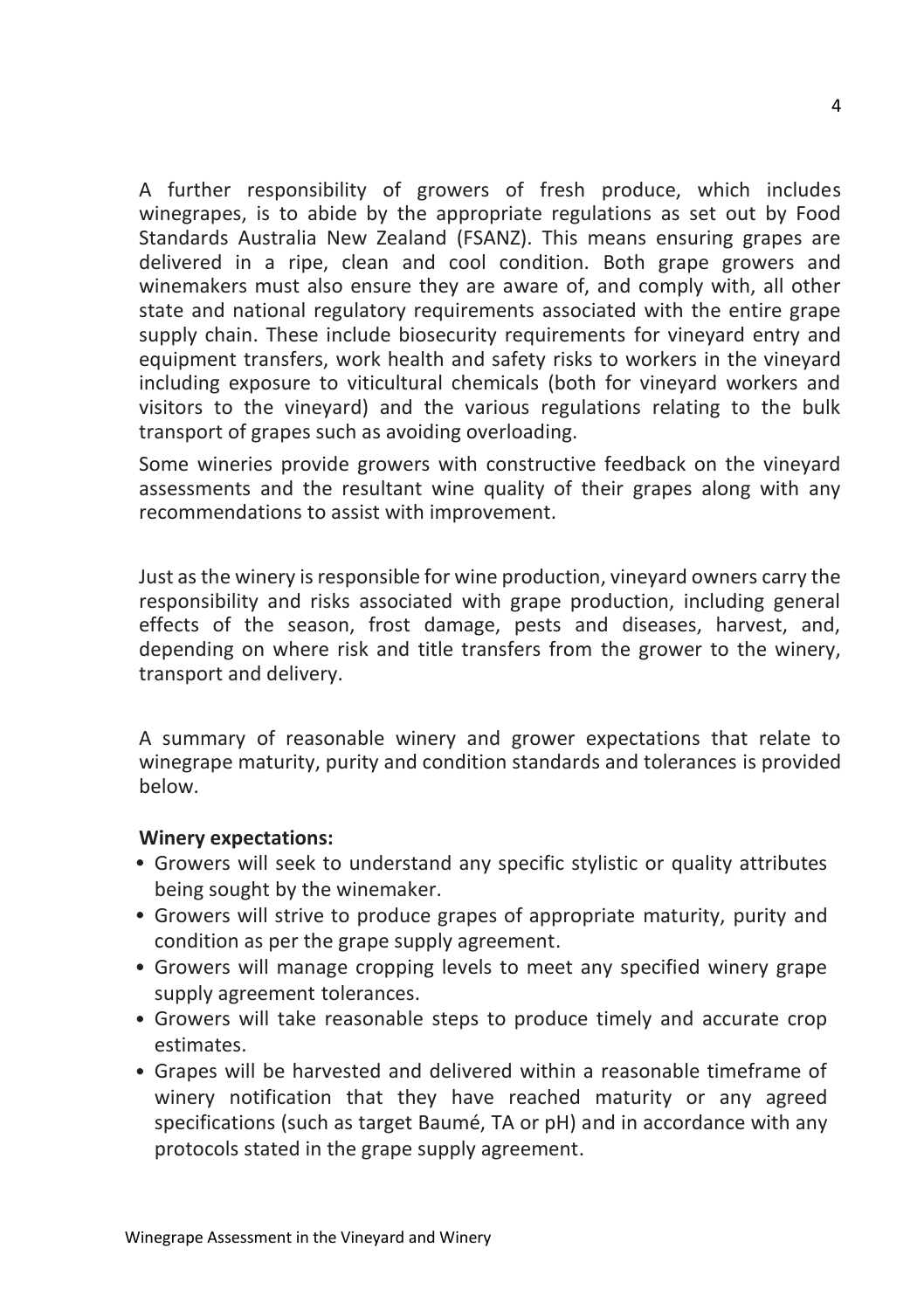A further responsibility of growers of fresh produce, which includes winegrapes, is to abide by the appropriate regulations as set out by Food Standards Australia New Zealand (FSANZ). This means ensuring grapes are delivered in a ripe, clean and cool condition. Both grape growers and winemakers must also ensure they are aware of, and comply with, all other state and national regulatory requirements associated with the entire grape supply chain. These include biosecurity requirements for vineyard entry and equipment transfers, work health and safety risks to workers in the vineyard including exposure to viticultural chemicals (both for vineyard workers and visitors to the vineyard) and the various regulations relating to the bulk transport of grapes such as avoiding overloading.

Some wineries provide growers with constructive feedback on the vineyard assessments and the resultant wine quality of their grapes along with any recommendations to assist with improvement.

Just as the winery is responsible for wine production, vineyard owners carry the responsibility and risks associated with grape production, including general effects of the season, frost damage, pests and diseases, harvest, and, depending on where risk and title transfers from the grower to the winery, transport and delivery.

A summary of reasonable winery and grower expectations that relate to winegrape maturity, purity and condition standards and tolerances is provided below.

#### **Winery expectations:**

- Growers will seek to understand any specific stylistic or quality attributes being sought by the winemaker.
- Growers will strive to produce grapes of appropriate maturity, purity and condition as per the grape supply agreement.
- Growers will manage cropping levels to meet any specified winery grape supply agreement tolerances.
- Growers will take reasonable steps to produce timely and accurate crop estimates.
- Grapes will be harvested and delivered within a reasonable timeframe of winery notification that they have reached maturity or any agreed specifications (such as target Baumé, TA or pH) and in accordance with any protocols stated in the grape supply agreement.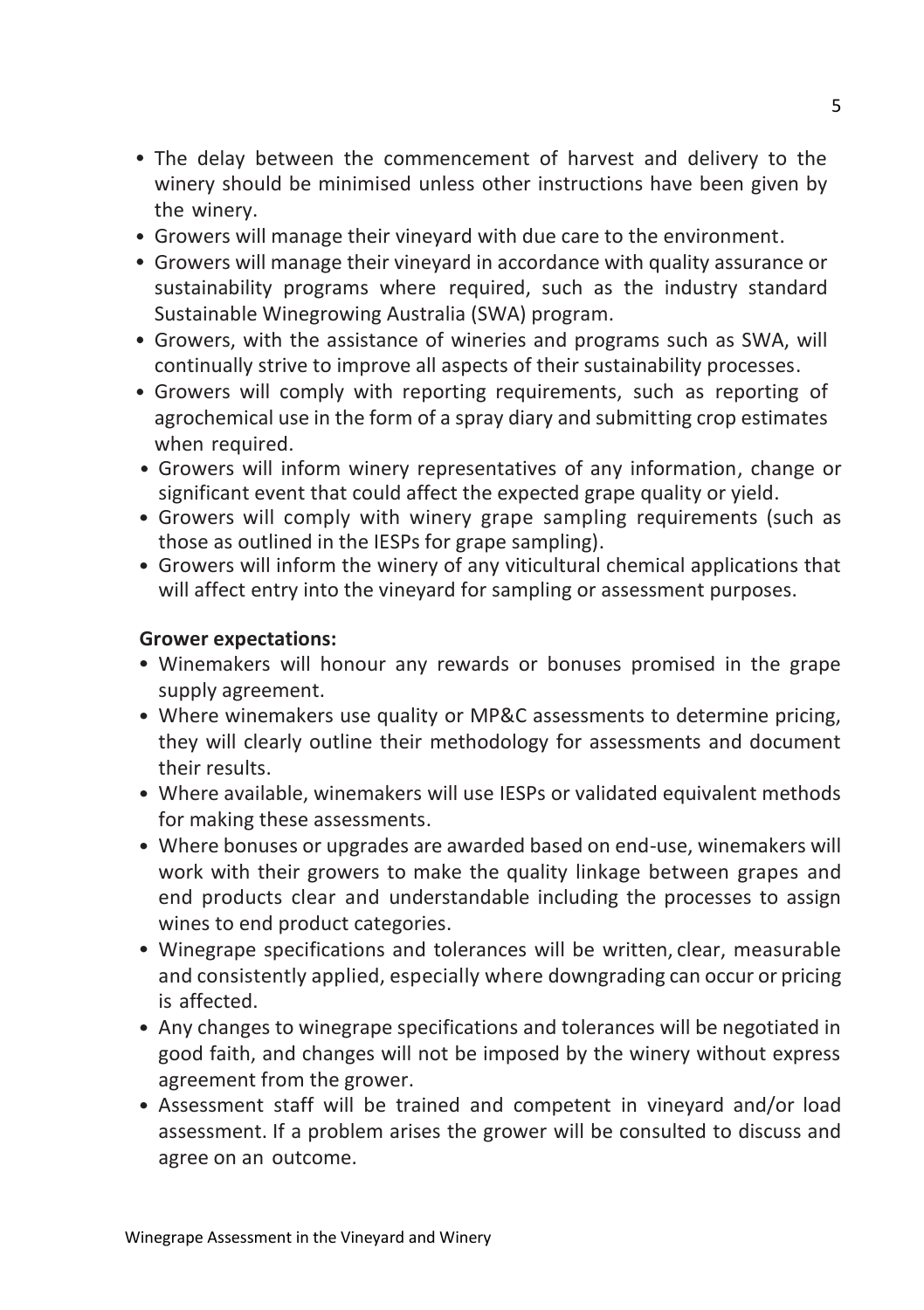- The delay between the commencement of harvest and delivery to the winery should be minimised unless other instructions have been given by the winery.
- Growers will manage their vineyard with due care to the environment.
- Growers will manage their vineyard in accordance with quality assurance or sustainability programs where required, such as the industry standard Sustainable Winegrowing Australia (SWA) program.
- Growers, with the assistance of wineries and programs such as SWA, will continually strive to improve all aspects of their sustainability processes.
- Growers will comply with reporting requirements, such as reporting of agrochemical use in the form of a spray diary and submitting crop estimates when required.
- Growers will inform winery representatives of any information, change or significant event that could affect the expected grape quality or yield.
- Growers will comply with winery grape sampling requirements (such as those as outlined in the IESPs for grape sampling).
- Growers will inform the winery of any viticultural chemical applications that will affect entry into the vineyard for sampling or assessment purposes.

#### **Grower expectations:**

- Winemakers will honour any rewards or bonuses promised in the grape supply agreement.
- Where winemakers use quality or MP&C assessments to determine pricing, they will clearly outline their methodology for assessments and document their results.
- Where available, winemakers will use IESPs or validated equivalent methods for making these assessments.
- Where bonuses or upgrades are awarded based on end-use, winemakers will work with their growers to make the quality linkage between grapes and end products clear and understandable including the processes to assign wines to end product categories.
- Winegrape specifications and tolerances will be written, clear, measurable and consistently applied, especially where downgrading can occur or pricing is affected.
- Any changes to winegrape specifications and tolerances will be negotiated in good faith, and changes will not be imposed by the winery without express agreement from the grower.
- Assessment staff will be trained and competent in vineyard and/or load assessment. If a problem arises the grower will be consulted to discuss and agree on an outcome.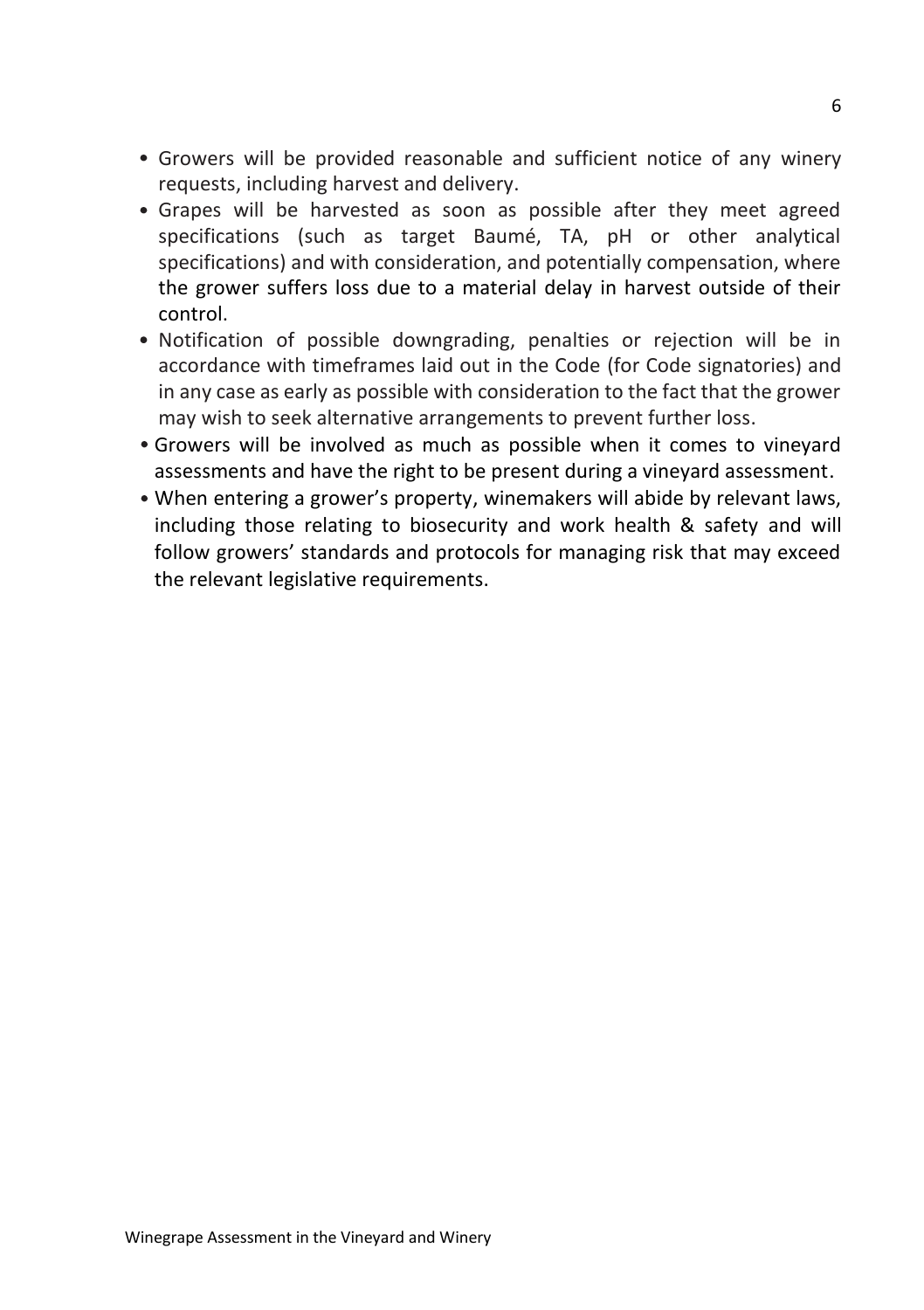- Growers will be provided reasonable and sufficient notice of any winery requests, including harvest and delivery.
- Grapes will be harvested as soon as possible after they meet agreed specifications (such as target Baumé, TA, pH or other analytical specifications) and with consideration, and potentially compensation, where the grower suffers loss due to a material delay in harvest outside of their control.
- Notification of possible downgrading, penalties or rejection will be in accordance with timeframes laid out in the Code (for Code signatories) and in any case as early as possible with consideration to the fact that the grower may wish to seek alternative arrangements to prevent further loss.
- Growers will be involved as much as possible when it comes to vineyard assessments and have the right to be present during a vineyard assessment.
- When entering a grower's property, winemakers will abide by relevant laws, including those relating to biosecurity and work health & safety and will follow growers' standards and protocols for managing risk that may exceed the relevant legislative requirements.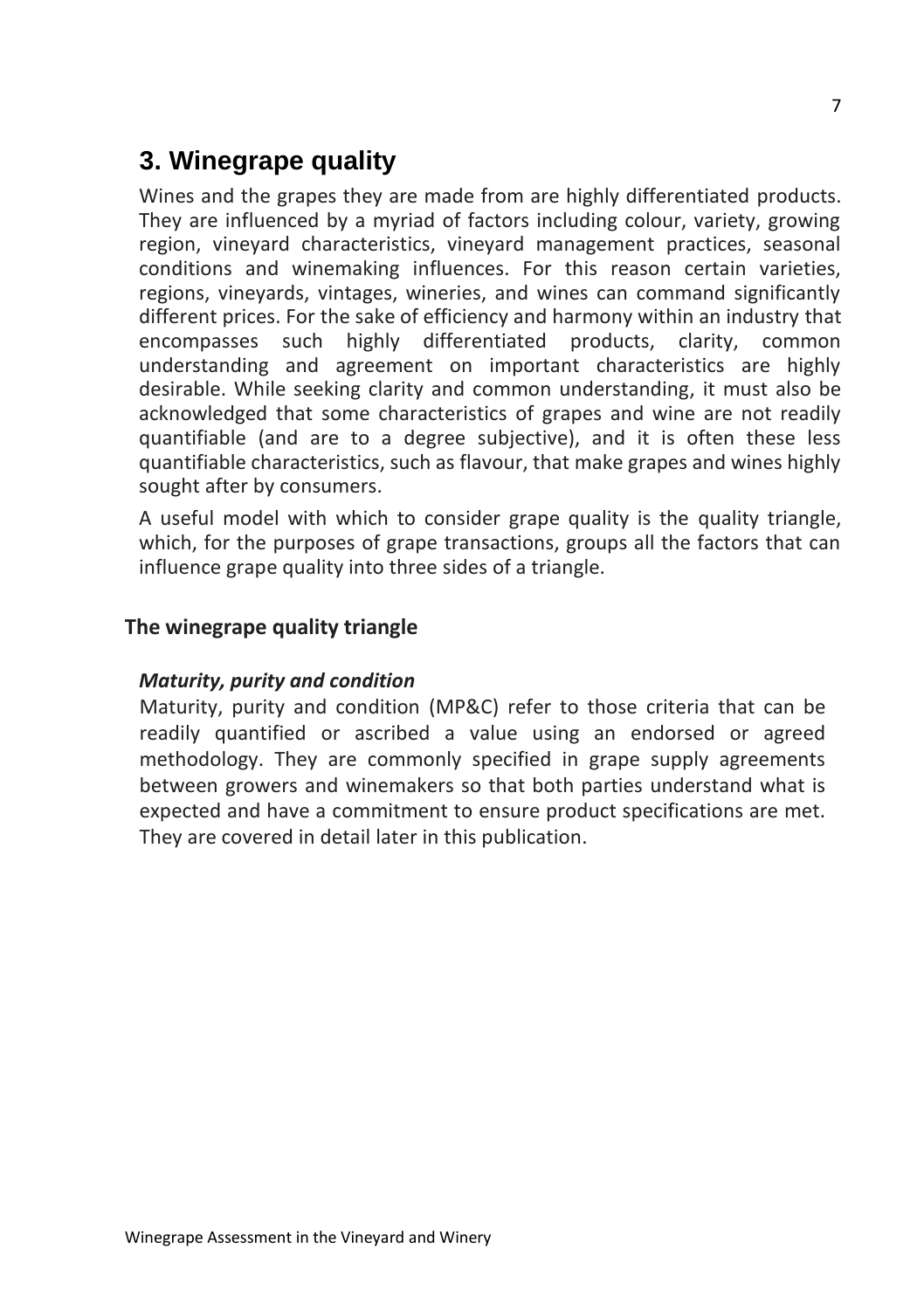## **3. Winegrape quality**

Wines and the grapes they are made from are highly differentiated products. They are influenced by a myriad of factors including colour, variety, growing region, vineyard characteristics, vineyard management practices, seasonal conditions and winemaking influences. For this reason certain varieties, regions, vineyards, vintages, wineries, and wines can command significantly different prices. For the sake of efficiency and harmony within an industry that encompasses such highly differentiated products, clarity, common understanding and agreement on important characteristics are highly desirable. While seeking clarity and common understanding, it must also be acknowledged that some characteristics of grapes and wine are not readily quantifiable (and are to a degree subjective), and it is often these less quantifiable characteristics, such as flavour, that make grapes and wines highly sought after by consumers.

A useful model with which to consider grape quality is the quality triangle, which, for the purposes of grape transactions, groups all the factors that can influence grape quality into three sides of a triangle.

#### **The winegrape quality triangle**

#### *Maturity, purity and condition*

Maturity, purity and condition (MP&C) refer to those criteria that can be readily quantified or ascribed a value using an endorsed or agreed methodology. They are commonly specified in grape supply agreements between growers and winemakers so that both parties understand what is expected and have a commitment to ensure product specifications are met. They are covered in detail later in this publication.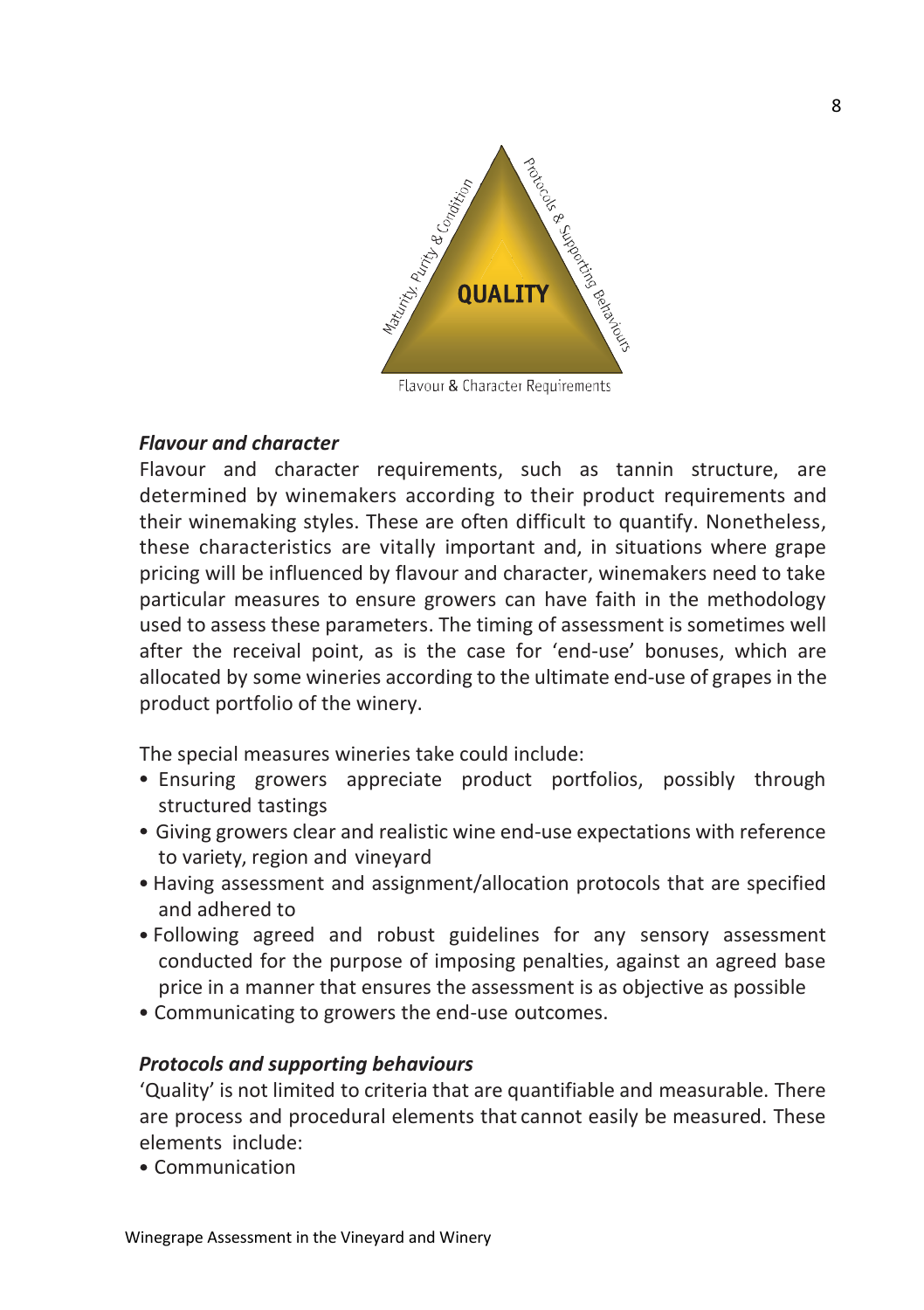

Flavour & Character Requirements

#### *Flavour and character*

Flavour and character requirements, such as tannin structure, are determined by winemakers according to their product requirements and their winemaking styles. These are often difficult to quantify. Nonetheless, these characteristics are vitally important and, in situations where grape pricing will be influenced by flavour and character, winemakers need to take particular measures to ensure growers can have faith in the methodology used to assess these parameters. The timing of assessment is sometimes well after the receival point, as is the case for 'end-use' bonuses, which are allocated by some wineries according to the ultimate end-use of grapes in the product portfolio of the winery.

The special measures wineries take could include:

- Ensuring growers appreciate product portfolios, possibly through structured tastings
- Giving growers clear and realistic wine end-use expectations with reference to variety, region and vineyard
- Having assessment and assignment/allocation protocols that are specified and adhered to
- Following agreed and robust guidelines for any sensory assessment conducted for the purpose of imposing penalties, against an agreed base price in a manner that ensures the assessment is as objective as possible
- Communicating to growers the end-use outcomes.

#### *Protocols and supporting behaviours*

'Quality' is not limited to criteria that are quantifiable and measurable. There are process and procedural elements that cannot easily be measured. These elements include:

Communication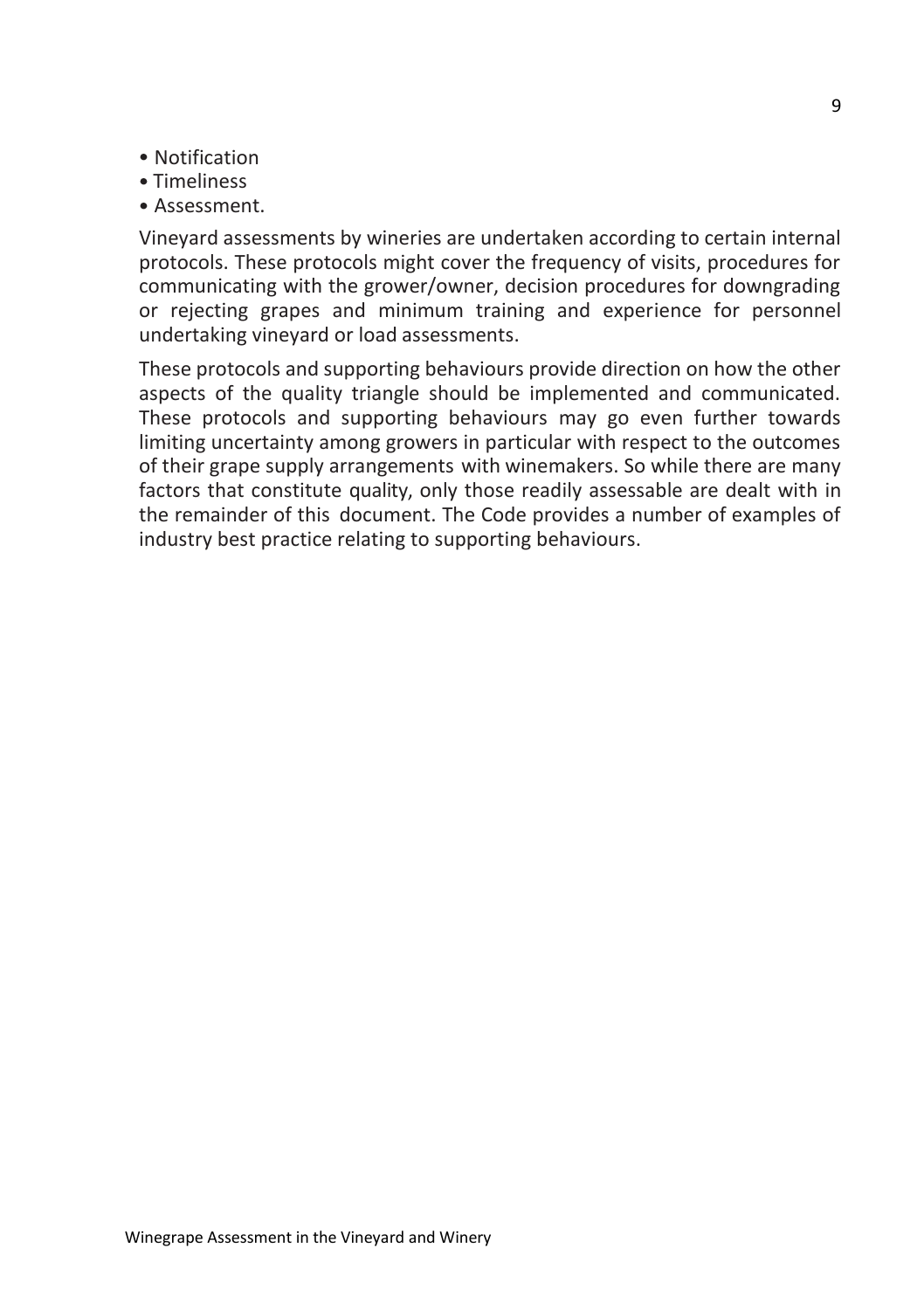- Notification
- Timeliness
- Assessment.

Vineyard assessments by wineries are undertaken according to certain internal protocols. These protocols might cover the frequency of visits, procedures for communicating with the grower/owner, decision procedures for downgrading or rejecting grapes and minimum training and experience for personnel undertaking vineyard or load assessments.

These protocols and supporting behaviours provide direction on how the other aspects of the quality triangle should be implemented and communicated. These protocols and supporting behaviours may go even further towards limiting uncertainty among growers in particular with respect to the outcomes of their grape supply arrangements with winemakers. So while there are many factors that constitute quality, only those readily assessable are dealt with in the remainder of this document. The Code provides a number of examples of industry best practice relating to supporting behaviours.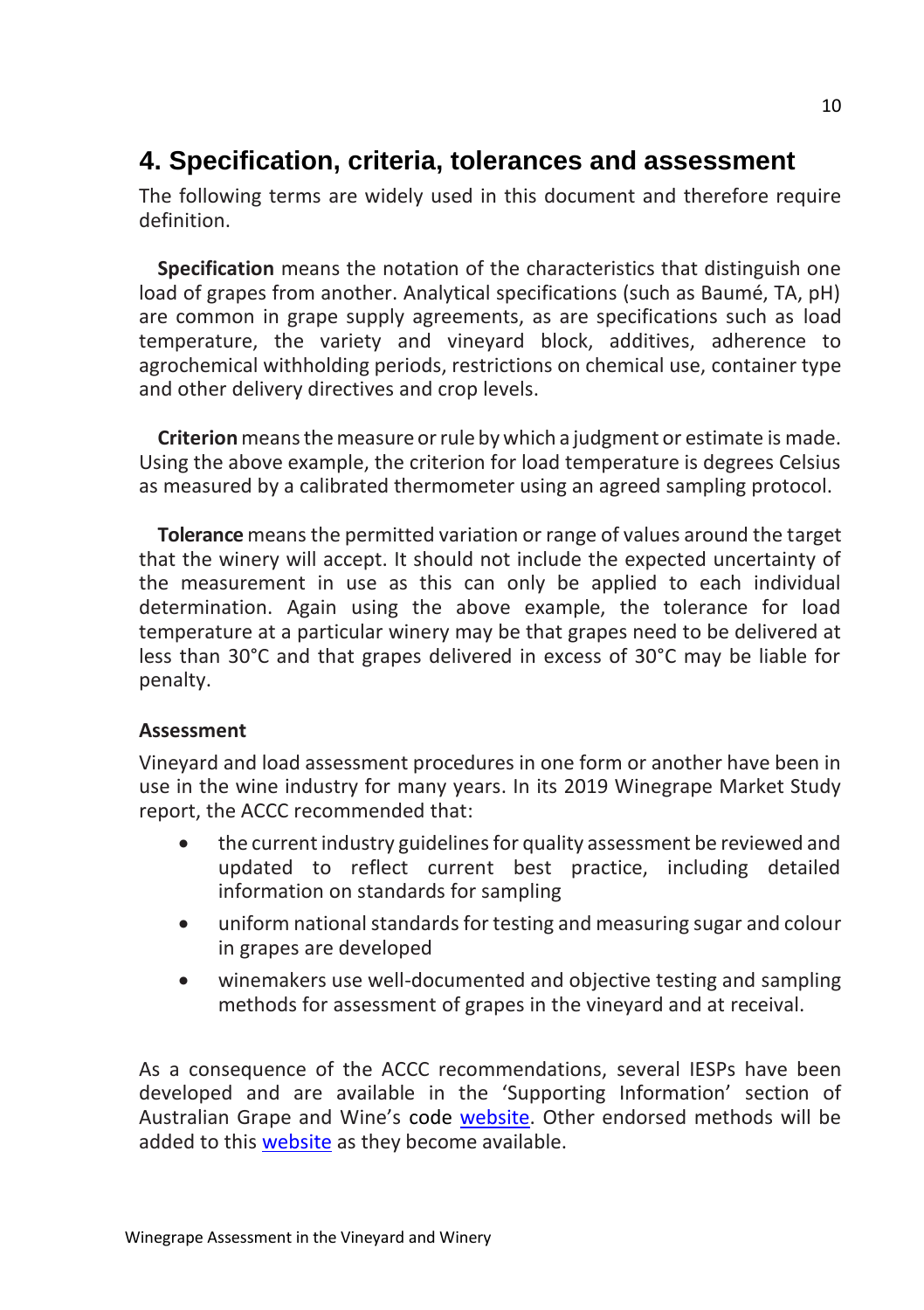## **4. Specification, criteria, tolerances and assessment**

The following terms are widely used in this document and therefore require definition.

**Specification** means the notation of the characteristics that distinguish one load of grapes from another. Analytical specifications (such as Baumé, TA, pH) are common in grape supply agreements, as are specifications such as load temperature, the variety and vineyard block, additives, adherence to agrochemical withholding periods, restrictions on chemical use, container type and other delivery directives and crop levels.

**Criterion** means the measure or rule by which a judgment or estimate is made. Using the above example, the criterion for load temperature is degrees Celsius as measured by a calibrated thermometer using an agreed sampling protocol.

**Tolerance**means the permitted variation or range of values around the target that the winery will accept. It should not include the expected uncertainty of the measurement in use as this can only be applied to each individual determination. Again using the above example, the tolerance for load temperature at a particular winery may be that grapes need to be delivered at less than 30°C and that grapes delivered in excess of 30°C may be liable for penalty.

#### **Assessment**

Vineyard and load assessment procedures in one form or another have been in use in the wine industry for many years. In its 2019 Winegrape Market Study report, the ACCC recommended that:

- the current industry guidelines for quality assessment be reviewed and updated to reflect current best practice, including detailed information on standards for sampling
- uniform national standards for testing and measuring sugar and colour in grapes are developed
- winemakers use well-documented and objective testing and sampling methods for assessment of grapes in the vineyard and at receival.

As a consequence of the ACCC recommendations, several IESPs have been developed and are available in the 'Supporting Information' section of Australian Grape and Wine's code [website.](http://www.wineindustrycode.org/) Other endorsed methods will be added to this [website](http://www.wineindustrycode.org/) as they become available.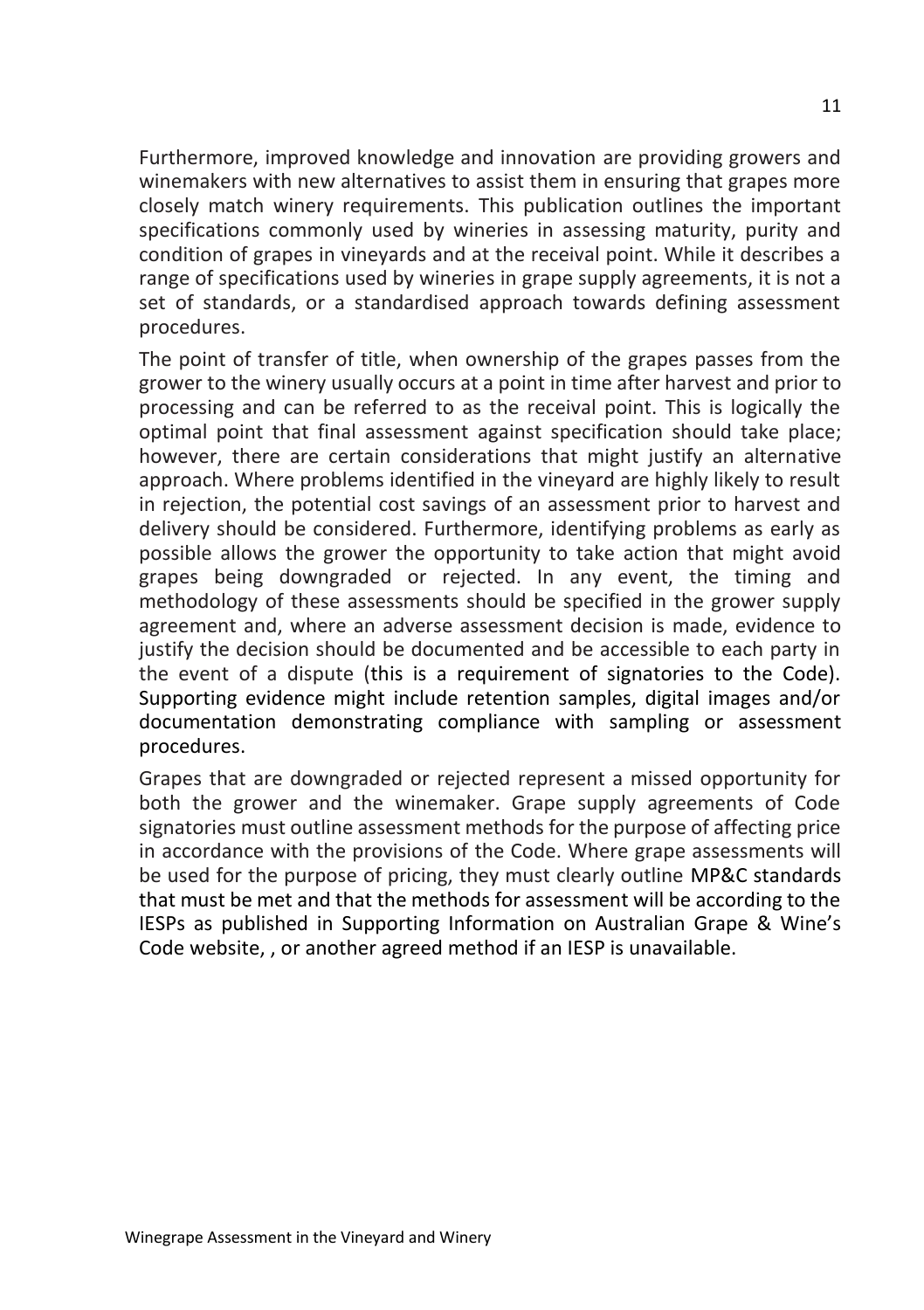Furthermore, improved knowledge and innovation are providing growers and winemakers with new alternatives to assist them in ensuring that grapes more closely match winery requirements. This publication outlines the important specifications commonly used by wineries in assessing maturity, purity and condition of grapes in vineyards and at the receival point. While it describes a range of specifications used by wineries in grape supply agreements, it is not a set of standards, or a standardised approach towards defining assessment procedures.

The point of transfer of title, when ownership of the grapes passes from the grower to the winery usually occurs at a point in time after harvest and prior to processing and can be referred to as the receival point. This is logically the optimal point that final assessment against specification should take place; however, there are certain considerations that might justify an alternative approach. Where problems identified in the vineyard are highly likely to result in rejection, the potential cost savings of an assessment prior to harvest and delivery should be considered. Furthermore, identifying problems as early as possible allows the grower the opportunity to take action that might avoid grapes being downgraded or rejected. In any event, the timing and methodology of these assessments should be specified in the grower supply agreement and, where an adverse assessment decision is made, evidence to justify the decision should be documented and be accessible to each party in the event of a dispute (this is a requirement of signatories to the Code). Supporting evidence might include retention samples, digital images and/or documentation demonstrating compliance with sampling or assessment procedures.

Grapes that are downgraded or rejected represent a missed opportunity for both the grower and the winemaker. Grape supply agreements of Code signatories must outline assessment methods for the purpose of affecting price in accordance with the provisions of the Code. Where grape assessments will be used for the purpose of pricing, they must clearly outline MP&C standards that must be met and that the methods for assessment will be according to the IESPs as published in [Supporting Information](https://www.wineindustrycode.org/supporting-information/) on Australian Grape & Wine's Code website, , or another agreed method if an IESP is unavailable.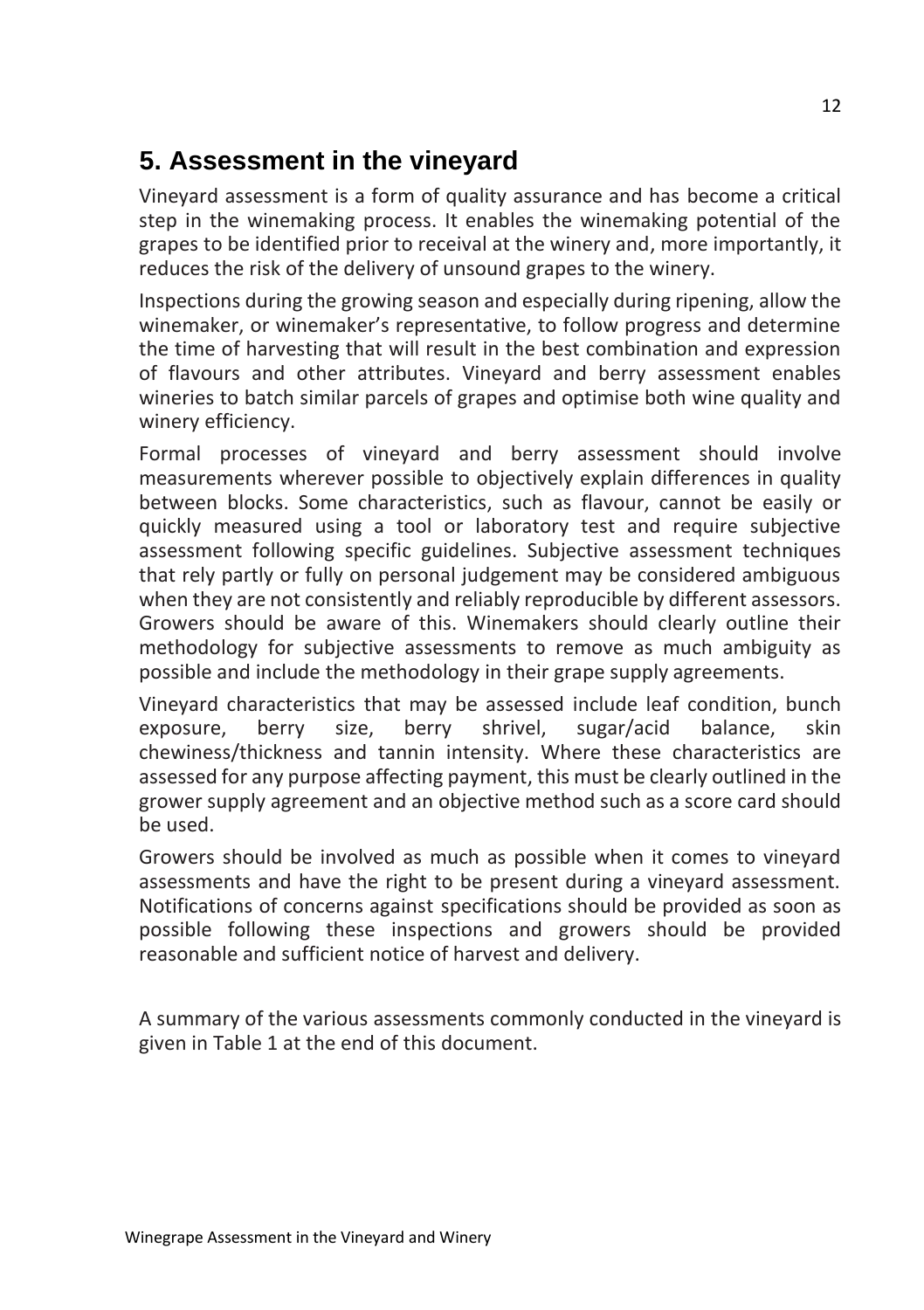## **5. Assessment in the vineyard**

Vineyard assessment is a form of quality assurance and has become a critical step in the winemaking process. It enables the winemaking potential of the grapes to be identified prior to receival at the winery and, more importantly, it reduces the risk of the delivery of unsound grapes to the winery.

Inspections during the growing season and especially during ripening, allow the winemaker, or winemaker's representative, to follow progress and determine the time of harvesting that will result in the best combination and expression of flavours and other attributes. Vineyard and berry assessment enables wineries to batch similar parcels of grapes and optimise both wine quality and winery efficiency.

Formal processes of vineyard and berry assessment should involve measurements wherever possible to objectively explain differences in quality between blocks. Some characteristics, such as flavour, cannot be easily or quickly measured using a tool or laboratory test and require subjective assessment following specific guidelines. Subjective assessment techniques that rely partly or fully on personal judgement may be considered ambiguous when they are not consistently and reliably reproducible by different assessors. Growers should be aware of this. Winemakers should clearly outline their methodology for subjective assessments to remove as much ambiguity as possible and include the methodology in their grape supply agreements.

Vineyard characteristics that may be assessed include leaf condition, bunch exposure, berry size, berry shrivel, sugar/acid balance, skin chewiness/thickness and tannin intensity. Where these characteristics are assessed for any purpose affecting payment, this must be clearly outlined in the grower supply agreement and an objective method such as a score card should be used.

Growers should be involved as much as possible when it comes to vineyard assessments and have the right to be present during a vineyard assessment. Notifications of concerns against specifications should be provided as soon as possible following these inspections and growers should be provided reasonable and sufficient notice of harvest and delivery.

A summary of the various assessments commonly conducted in the vineyard is given in Table 1 at the end of this document.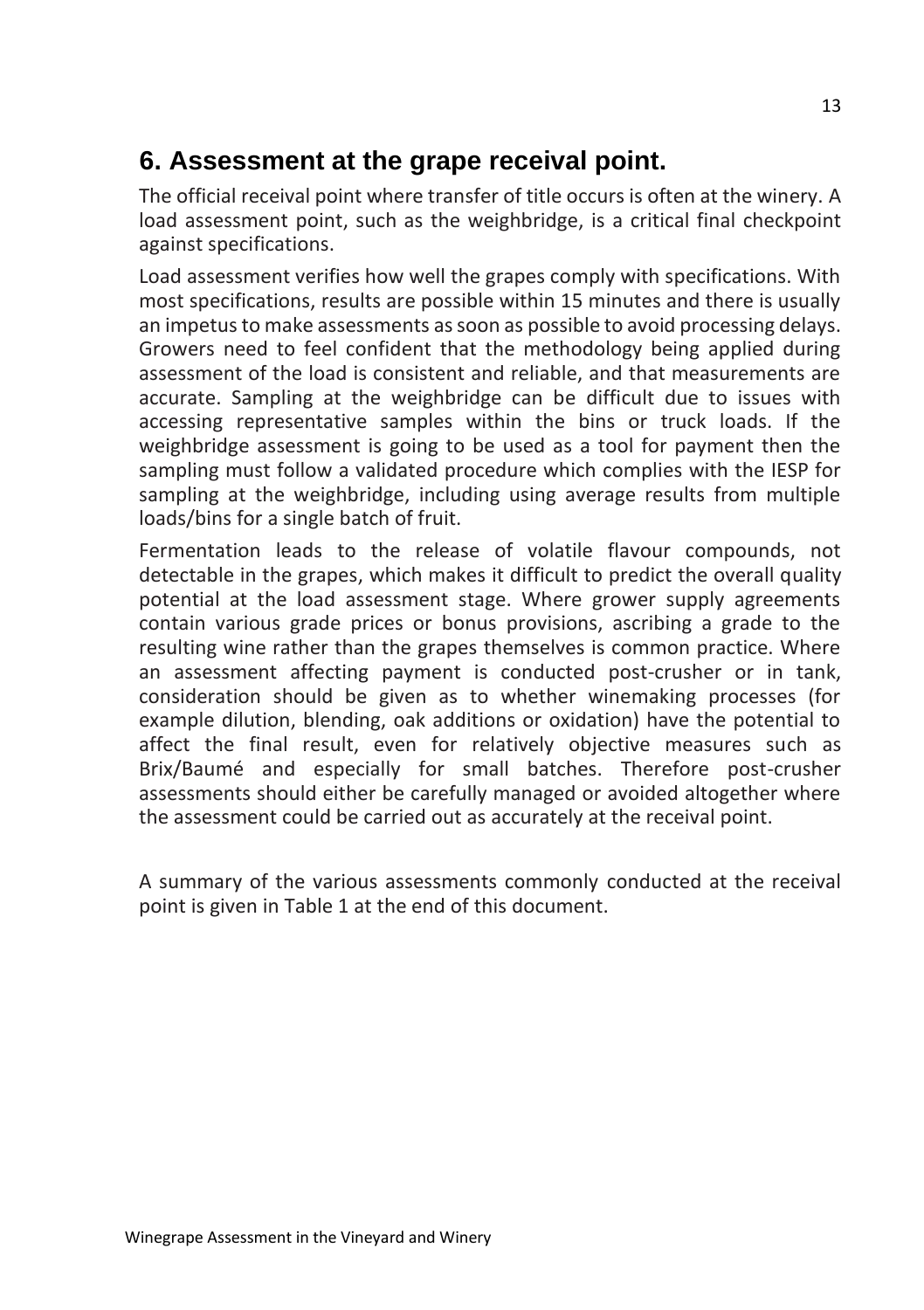## **6. Assessment at the grape receival point.**

The official receival point where transfer of title occurs is often at the winery. A load assessment point, such as the weighbridge, is a critical final checkpoint against specifications.

Load assessment verifies how well the grapes comply with specifications. With most specifications, results are possible within 15 minutes and there is usually an impetus to make assessments as soon as possible to avoid processing delays. Growers need to feel confident that the methodology being applied during assessment of the load is consistent and reliable, and that measurements are accurate. Sampling at the weighbridge can be difficult due to issues with accessing representative samples within the bins or truck loads. If the weighbridge assessment is going to be used as a tool for payment then the sampling must follow a validated procedure which complies with the IESP for sampling at the weighbridge, including using average results from multiple loads/bins for a single batch of fruit.

Fermentation leads to the release of volatile flavour compounds, not detectable in the grapes, which makes it difficult to predict the overall quality potential at the load assessment stage. Where grower supply agreements contain various grade prices or bonus provisions, ascribing a grade to the resulting wine rather than the grapes themselves is common practice. Where an assessment affecting payment is conducted post-crusher or in tank, consideration should be given as to whether winemaking processes (for example dilution, blending, oak additions or oxidation) have the potential to affect the final result, even for relatively objective measures such as Brix/Baumé and especially for small batches. Therefore post-crusher assessments should either be carefully managed or avoided altogether where the assessment could be carried out as accurately at the receival point.

A summary of the various assessments commonly conducted at the receival point is given in Table 1 at the end of this document.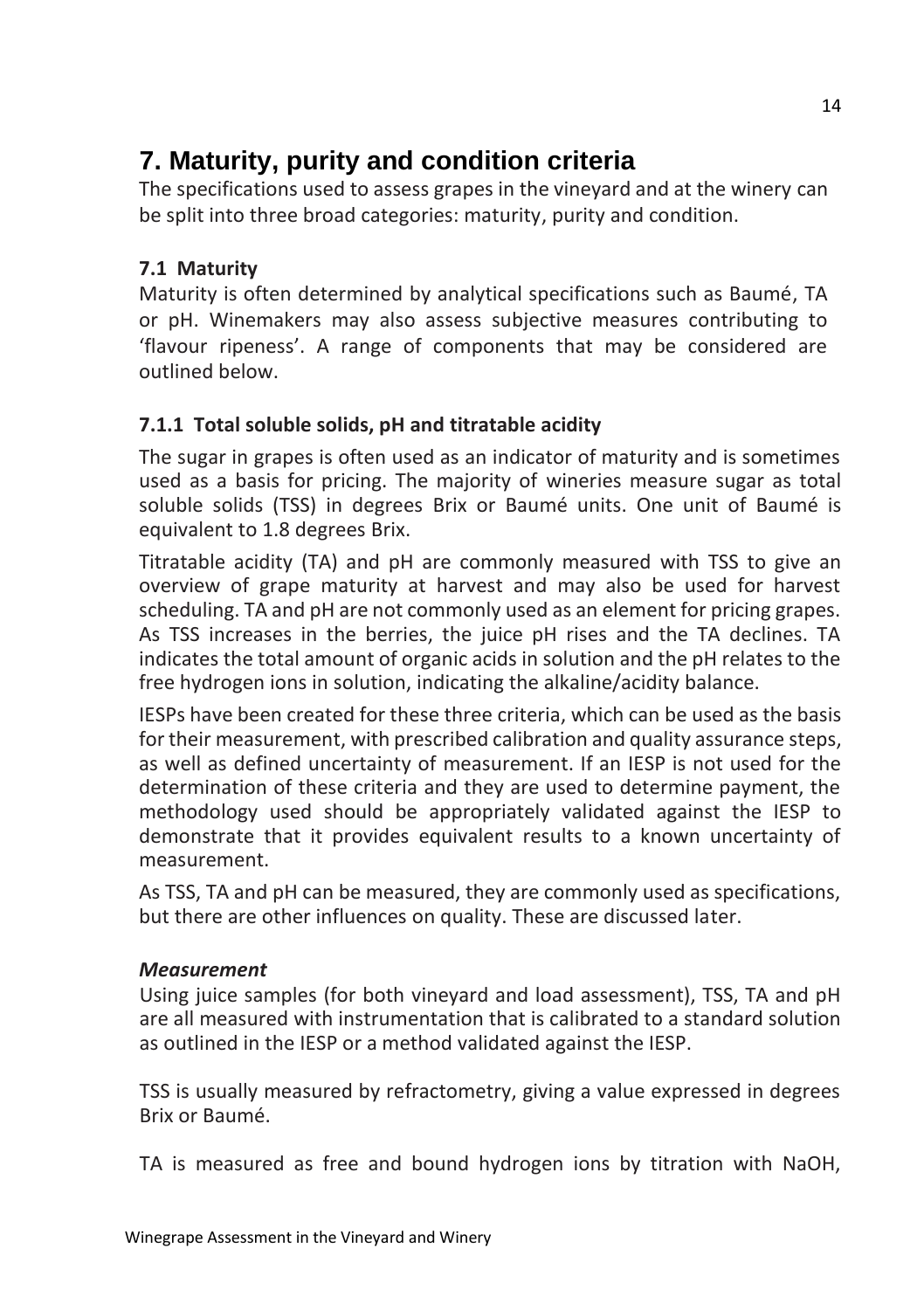## **7. Maturity, purity and condition criteria**

The specifications used to assess grapes in the vineyard and at the winery can be split into three broad categories: maturity, purity and condition.

#### **7.1 Maturity**

Maturity is often determined by analytical specifications such as Baumé, TA or pH. Winemakers may also assess subjective measures contributing to 'flavour ripeness'. A range of components that may be considered are outlined below.

#### **7.1.1 Total soluble solids, pH and titratable acidity**

The sugar in grapes is often used as an indicator of maturity and is sometimes used as a basis for pricing. The majority of wineries measure sugar as total soluble solids (TSS) in degrees Brix or Baumé units. One unit of Baumé is equivalent to 1.8 degrees Brix.

Titratable acidity (TA) and pH are commonly measured with TSS to give an overview of grape maturity at harvest and may also be used for harvest scheduling. TA and pH are not commonly used as an element for pricing grapes. As TSS increases in the berries, the juice pH rises and the TA declines. TA indicates the total amount of organic acids in solution and the pH relates to the free hydrogen ions in solution, indicating the alkaline/acidity balance.

IESPs have been created for these three criteria, which can be used as the basis for their measurement, with prescribed calibration and quality assurance steps, as well as defined uncertainty of measurement. If an IESP is not used for the determination of these criteria and they are used to determine payment, the methodology used should be appropriately validated against the IESP to demonstrate that it provides equivalent results to a known uncertainty of measurement.

As TSS, TA and pH can be measured, they are commonly used as specifications, but there are other influences on quality. These are discussed later.

#### *Measurement*

Using juice samples (for both vineyard and load assessment), TSS, TA and pH are all measured with instrumentation that is calibrated to a standard solution as outlined in the IESP or a method validated against the IESP.

TSS is usually measured by refractometry, giving a value expressed in degrees Brix or Baumé.

TA is measured as free and bound hydrogen ions by titration with NaOH,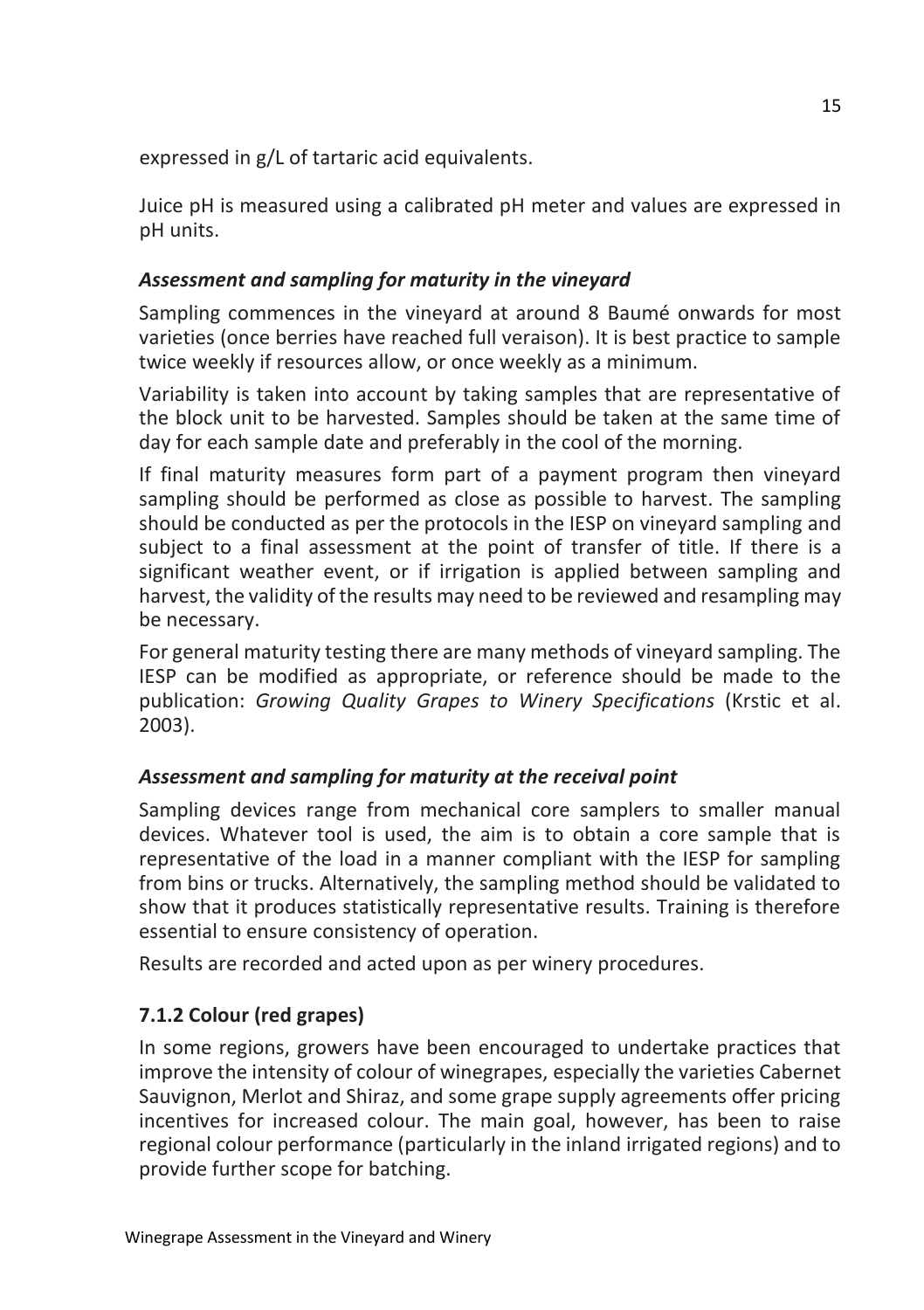expressed in g/L of tartaric acid equivalents.

Juice pH is measured using a calibrated pH meter and values are expressed in pH units.

#### *Assessment and sampling for maturity in the vineyard*

Sampling commences in the vineyard at around 8 Baumé onwards for most varieties (once berries have reached full veraison). It is best practice to sample twice weekly if resources allow, or once weekly as a minimum.

Variability is taken into account by taking samples that are representative of the block unit to be harvested. Samples should be taken at the same time of day for each sample date and preferably in the cool of the morning.

If final maturity measures form part of a payment program then vineyard sampling should be performed as close as possible to harvest. The sampling should be conducted as per the protocols in the IESP on vineyard sampling and subject to a final assessment at the point of transfer of title. If there is a significant weather event, or if irrigation is applied between sampling and harvest, the validity of the results may need to be reviewed and resampling may be necessary.

For general maturity testing there are many methods of vineyard sampling. The IESP can be modified as appropriate, or reference should be made to the publication: *Growing Quality Grapes to Winery Specifications* (Krstic et al. 2003).

#### *Assessment and sampling for maturity at the receival point*

Sampling devices range from mechanical core samplers to smaller manual devices. Whatever tool is used, the aim is to obtain a core sample that is representative of the load in a manner compliant with the IESP for sampling from bins or trucks. Alternatively, the sampling method should be validated to show that it produces statistically representative results. Training is therefore essential to ensure consistency of operation.

Results are recorded and acted upon as per winery procedures.

#### **7.1.2 Colour (red grapes)**

In some regions, growers have been encouraged to undertake practices that improve the intensity of colour of winegrapes, especially the varieties Cabernet Sauvignon, Merlot and Shiraz, and some grape supply agreements offer pricing incentives for increased colour. The main goal, however, has been to raise regional colour performance (particularly in the inland irrigated regions) and to provide further scope for batching.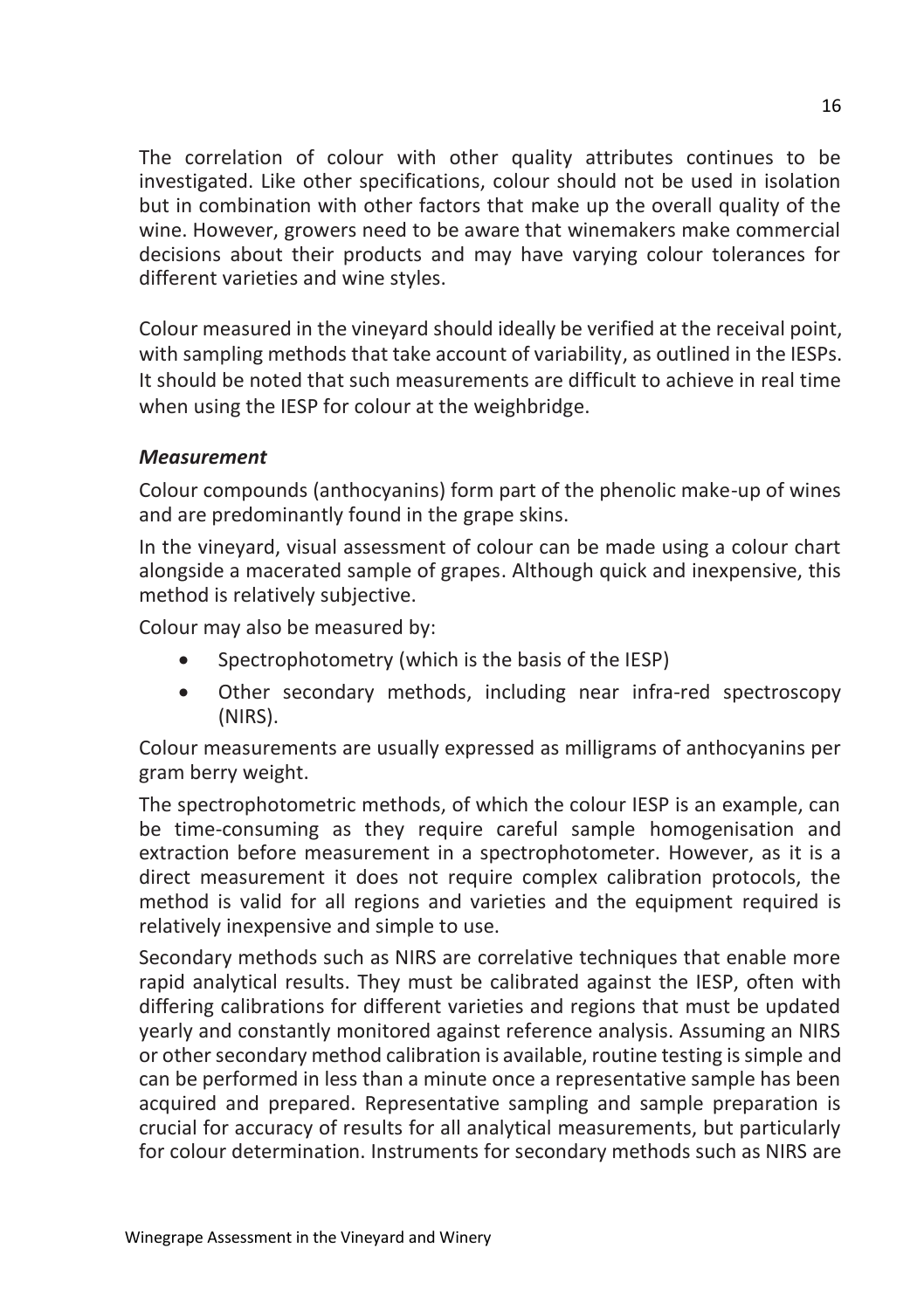The correlation of colour with other quality attributes continues to be investigated. Like other specifications, colour should not be used in isolation but in combination with other factors that make up the overall quality of the wine. However, growers need to be aware that winemakers make commercial decisions about their products and may have varying colour tolerances for different varieties and wine styles.

Colour measured in the vineyard should ideally be verified at the receival point, with sampling methods that take account of variability, as outlined in the IESPs. It should be noted that such measurements are difficult to achieve in real time when using the IESP for colour at the weighbridge.

#### *Measurement*

Colour compounds (anthocyanins) form part of the phenolic make-up of wines and are predominantly found in the grape skins.

In the vineyard, visual assessment of colour can be made using a colour chart alongside a macerated sample of grapes. Although quick and inexpensive, this method is relatively subjective.

Colour may also be measured by:

- Spectrophotometry (which is the basis of the IESP)
- Other secondary methods, including near infra-red spectroscopy (NIRS).

Colour measurements are usually expressed as milligrams of anthocyanins per gram berry weight.

The spectrophotometric methods, of which the colour IESP is an example, can be time-consuming as they require careful sample homogenisation and extraction before measurement in a spectrophotometer. However, as it is a direct measurement it does not require complex calibration protocols, the method is valid for all regions and varieties and the equipment required is relatively inexpensive and simple to use.

Secondary methods such as NIRS are correlative techniques that enable more rapid analytical results. They must be calibrated against the IESP, often with differing calibrations for different varieties and regions that must be updated yearly and constantly monitored against reference analysis. Assuming an NIRS or other secondary method calibration is available, routine testing is simple and can be performed in less than a minute once a representative sample has been acquired and prepared. Representative sampling and sample preparation is crucial for accuracy of results for all analytical measurements, but particularly for colour determination. Instruments for secondary methods such as NIRS are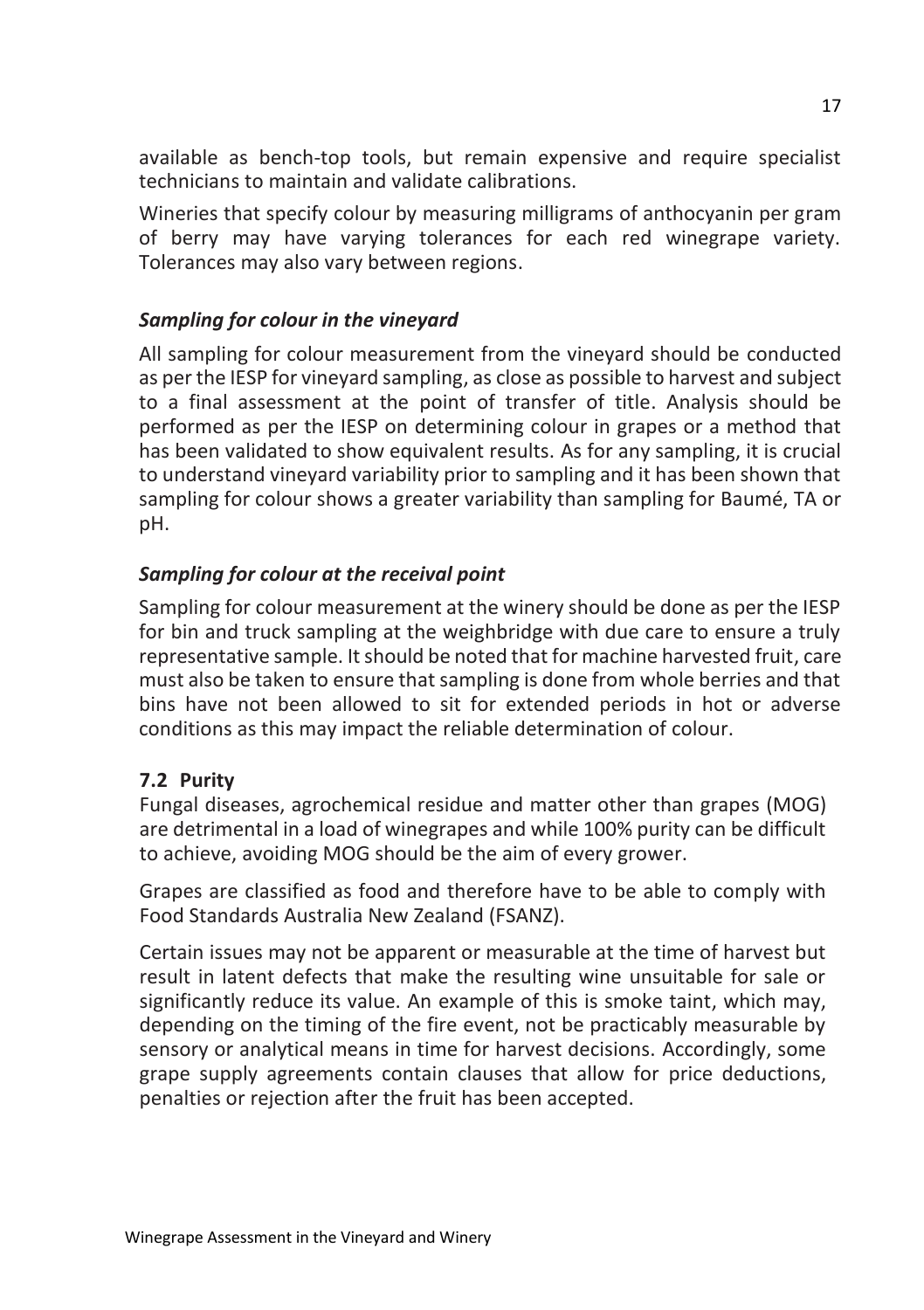available as bench-top tools, but remain expensive and require specialist technicians to maintain and validate calibrations.

Wineries that specify colour by measuring milligrams of anthocyanin per gram of berry may have varying tolerances for each red winegrape variety. Tolerances may also vary between regions.

#### *Sampling for colour in the vineyard*

All sampling for colour measurement from the vineyard should be conducted as per the IESP for vineyard sampling, as close as possible to harvest and subject to a final assessment at the point of transfer of title. Analysis should be performed as per the IESP on determining colour in grapes or a method that has been validated to show equivalent results. As for any sampling, it is crucial to understand vineyard variability prior to sampling and it has been shown that sampling for colour shows a greater variability than sampling for Baumé, TA or pH.

#### *Sampling for colour at the receival point*

Sampling for colour measurement at the winery should be done as per the IESP for bin and truck sampling at the weighbridge with due care to ensure a truly representative sample. It should be noted that for machine harvested fruit, care must also be taken to ensure that sampling is done from whole berries and that bins have not been allowed to sit for extended periods in hot or adverse conditions as this may impact the reliable determination of colour.

#### **7.2 Purity**

Fungal diseases, agrochemical residue and matter other than grapes (MOG) are detrimental in a load of winegrapes and while 100% purity can be difficult to achieve, avoiding MOG should be the aim of every grower.

Grapes are classified as food and therefore have to be able to comply with Food Standards Australia New Zealand (FSANZ).

Certain issues may not be apparent or measurable at the time of harvest but result in latent defects that make the resulting wine unsuitable for sale or significantly reduce its value. An example of this is smoke taint, which may, depending on the timing of the fire event, not be practicably measurable by sensory or analytical means in time for harvest decisions. Accordingly, some grape supply agreements contain clauses that allow for price deductions, penalties or rejection after the fruit has been accepted.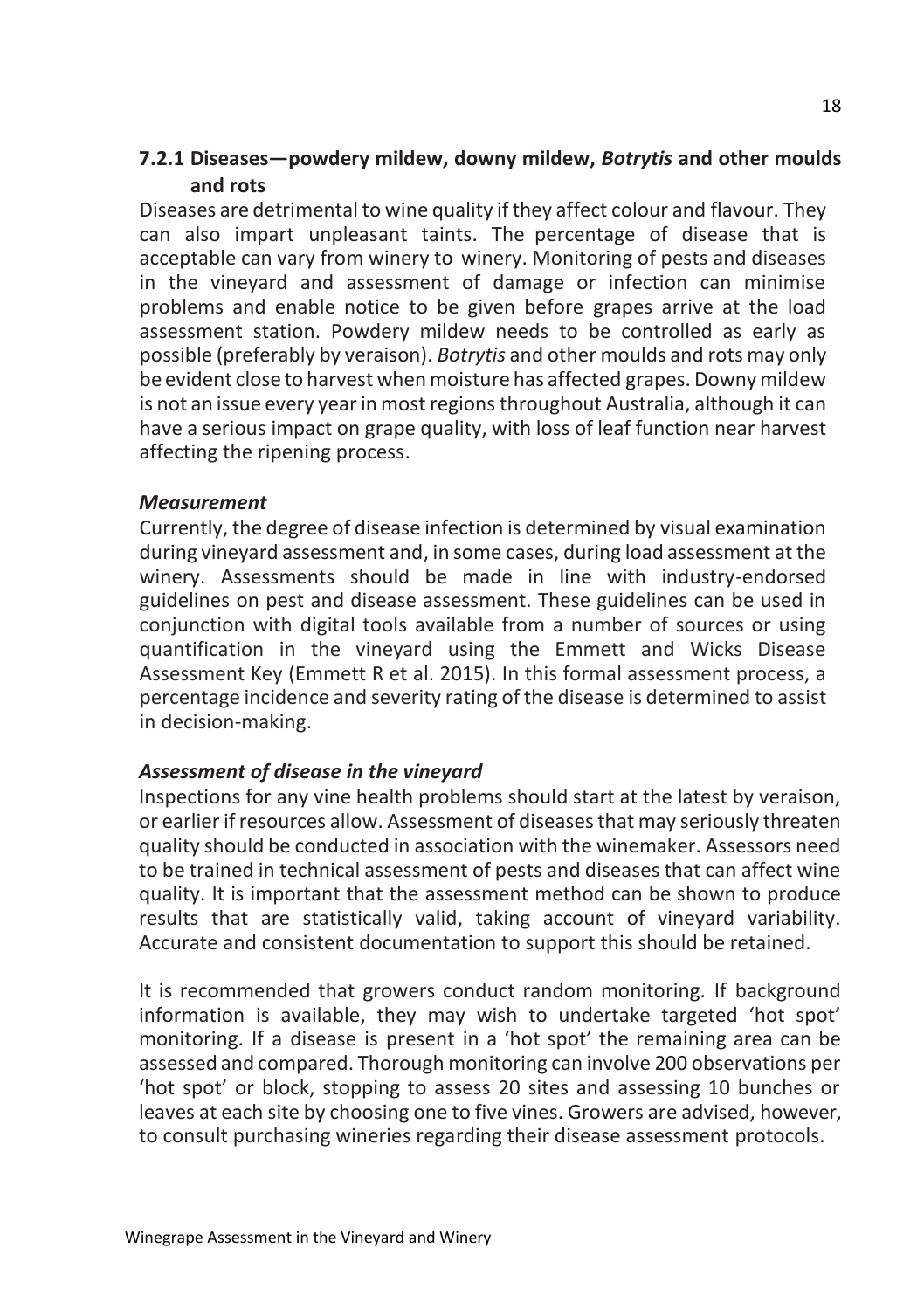#### **7.2.1 Diseases—powdery mildew, downy mildew,** *Botrytis* **and other moulds and rots**

Diseases are detrimental to wine quality ifthey affect colour and flavour. They can also impart unpleasant taints. The percentage of disease that is acceptable can vary from winery to winery. Monitoring of pests and diseases in the vineyard and assessment of damage or infection can minimise problems and enable notice to be given before grapes arrive at the load assessment station. Powdery mildew needs to be controlled as early as possible (preferably by veraison). *Botrytis* and other moulds and rots may only be evident close to harvest when moisture has affected grapes. Downy mildew is not an issue every yearin most regions throughout Australia, although it can have a serious impact on grape quality, with loss of leaf function near harvest affecting the ripening process.

#### *Measurement*

Currently, the degree of disease infection is determined by visual examination during vineyard assessment and, in some cases, during load assessment at the winery. Assessments should be made in line with industry-endorsed guidelines on pest and disease assessment. These guidelines can be used in conjunction with digital tools available from a number of sources or using quantification in the vineyard using the Emmett and Wicks Disease Assessment Key (Emmett R et al. 2015). In this formal assessment process, a percentage incidence and severity rating of the disease is determined to assist in decision-making.

#### *Assessment of disease in the vineyard*

Inspections for any vine health problems should start at the latest by veraison, or earlier if resources allow. Assessment of diseases that may seriously threaten quality should be conducted in association with the winemaker. Assessors need to be trained in technical assessment of pests and diseases that can affect wine quality. It is important that the assessment method can be shown to produce results that are statistically valid, taking account of vineyard variability. Accurate and consistent documentation to support this should be retained.

It is recommended that growers conduct random monitoring. If background information is available, they may wish to undertake targeted 'hot spot' monitoring. If a disease is present in a 'hot spot' the remaining area can be assessed and compared. Thorough monitoring can involve 200 observations per 'hot spot' or block, stopping to assess 20 sites and assessing 10 bunches or leaves at each site by choosing one to five vines. Growers are advised, however, to consult purchasing wineries regarding their disease assessment protocols.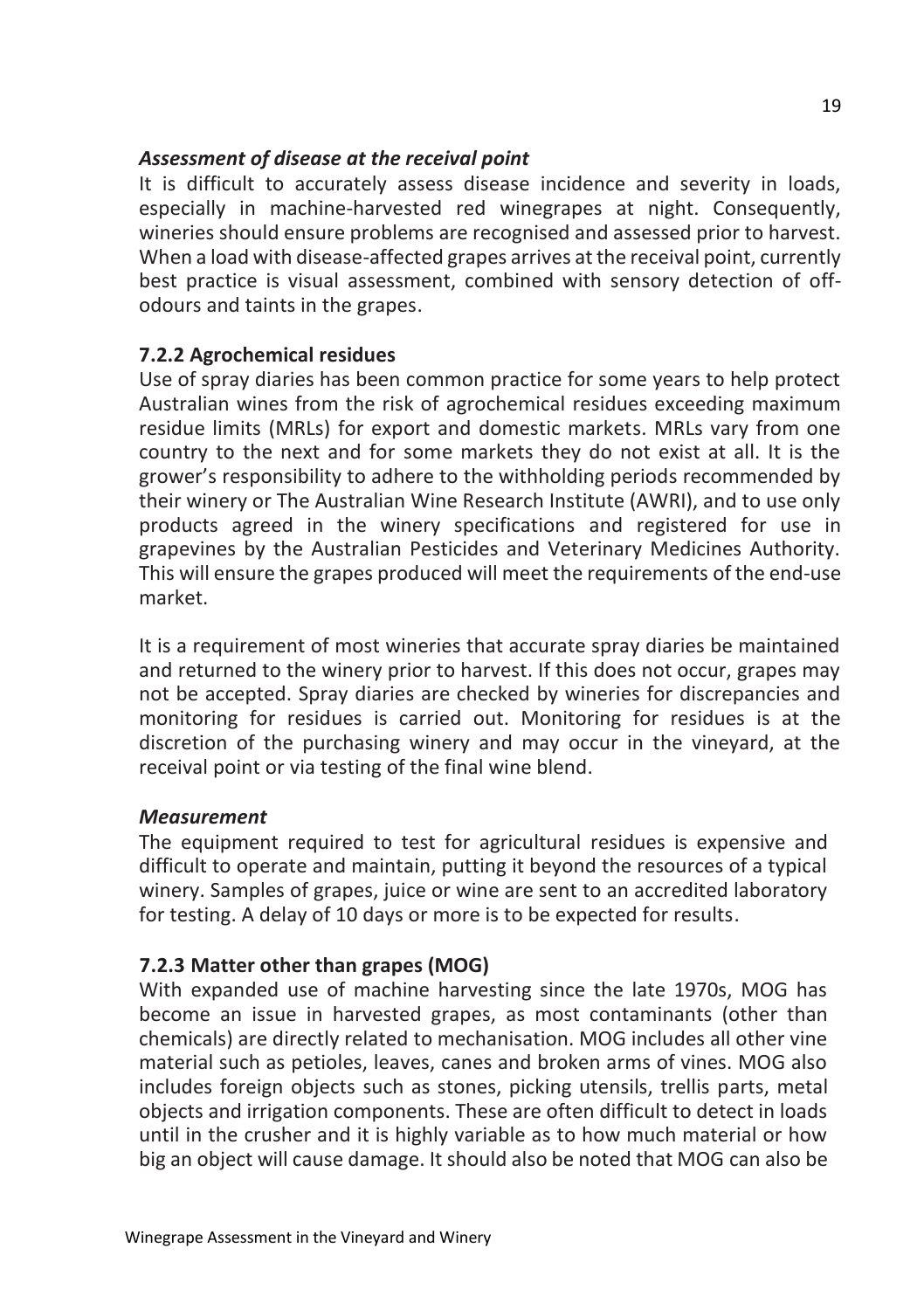#### *Assessment of disease at the receival point*

It is difficult to accurately assess disease incidence and severity in loads, especially in machine-harvested red winegrapes at night. Consequently, wineries should ensure problems are recognised and assessed prior to harvest. When a load with disease-affected grapes arrives at the receival point, currently best practice is visual assessment, combined with sensory detection of offodours and taints in the grapes.

#### **7.2.2 Agrochemical residues**

Use of spray diaries has been common practice for some years to help protect Australian wines from the risk of agrochemical residues exceeding maximum residue limits (MRLs) for export and domestic markets. MRLs vary from one country to the next and for some markets they do not exist at all. It is the grower's responsibility to adhere to the withholding periods recommended by their winery or The Australian Wine Research Institute (AWRI), and to use only products agreed in the winery specifications and registered for use in grapevines by the Australian Pesticides and Veterinary Medicines Authority. This will ensure the grapes produced will meet the requirements of the end-use market.

It is a requirement of most wineries that accurate spray diaries be maintained and returned to the winery prior to harvest. If this does not occur, grapes may not be accepted. Spray diaries are checked by wineries for discrepancies and monitoring for residues is carried out. Monitoring for residues is at the discretion of the purchasing winery and may occur in the vineyard, at the receival point or via testing of the final wine blend.

#### *Measurement*

The equipment required to test for agricultural residues is expensive and difficult to operate and maintain, putting it beyond the resources of a typical winery. Samples of grapes, juice or wine are sent to an accredited laboratory for testing. A delay of 10 days or more is to be expected for results.

#### **7.2.3 Matter other than grapes (MOG)**

With expanded use of machine harvesting since the late 1970s, MOG has become an issue in harvested grapes, as most contaminants (other than chemicals) are directly related to mechanisation. MOG includes all other vine material such as petioles, leaves, canes and broken arms of vines. MOG also includes foreign objects such as stones, picking utensils, trellis parts, metal objects and irrigation components. These are often difficult to detect in loads until in the crusher and it is highly variable as to how much material or how big an object will cause damage. It should also be noted that MOG can also be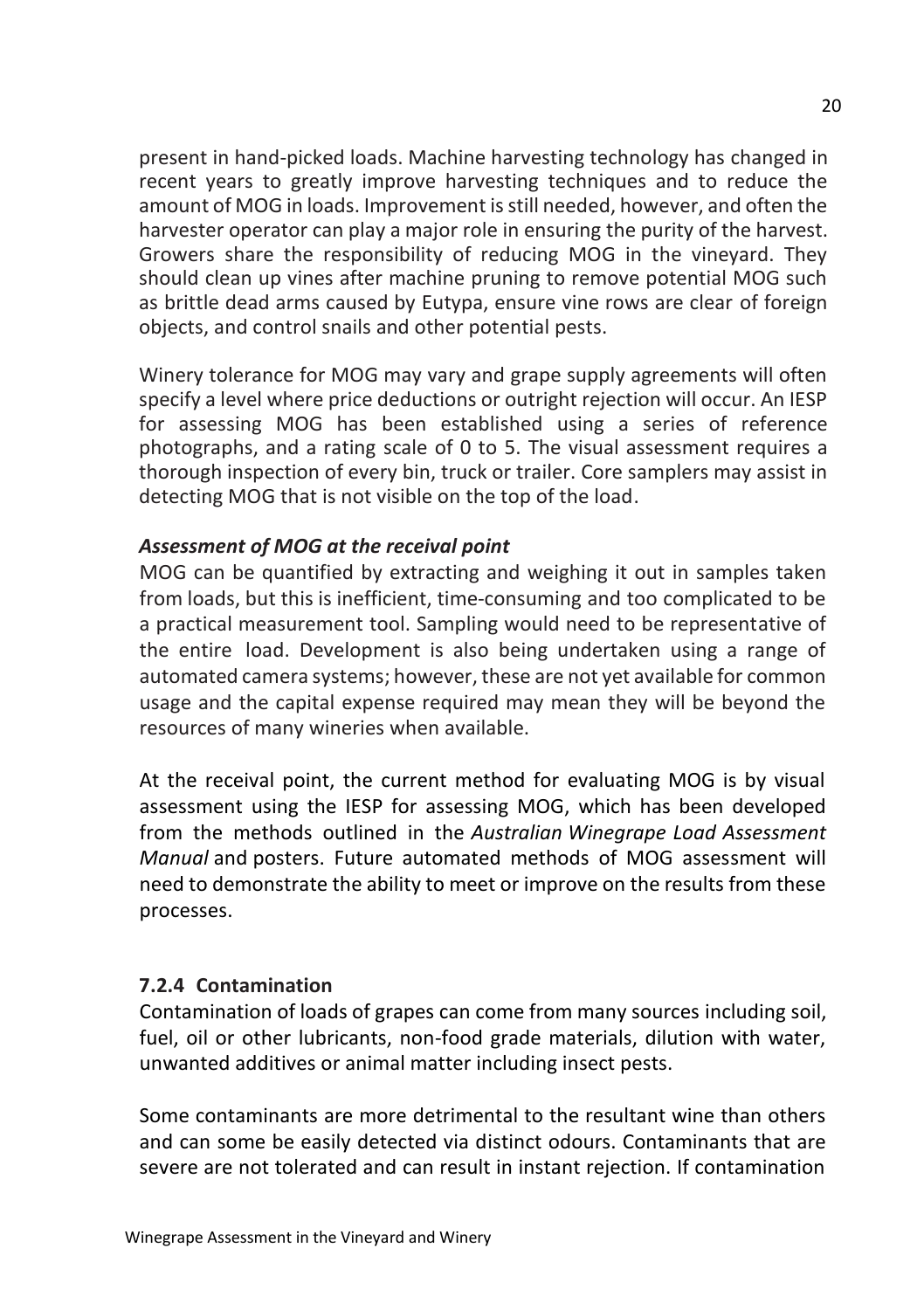present in hand-picked loads. Machine harvesting technology has changed in recent years to greatly improve harvesting techniques and to reduce the amount of MOG in loads. Improvement is still needed, however, and often the harvester operator can play a major role in ensuring the purity of the harvest. Growers share the responsibility of reducing MOG in the vineyard. They should clean up vines after machine pruning to remove potential MOG such as brittle dead arms caused by Eutypa, ensure vine rows are clear of foreign objects, and control snails and other potential pests.

Winery tolerance for MOG may vary and grape supply agreements will often specify a level where price deductions or outright rejection will occur. An IESP for assessing MOG has been established using a series of reference photographs, and a rating scale of 0 to 5. The visual assessment requires a thorough inspection of every bin, truck or trailer. Core samplers may assist in detecting MOG that is not visible on the top of the load.

#### *Assessment of MOG at the receival point*

MOG can be quantified by extracting and weighing it out in samples taken from loads, but this is inefficient, time-consuming and too complicated to be a practical measurement tool. Sampling would need to be representative of the entire load. Development is also being undertaken using a range of automated camera systems; however, these are not yet available for common usage and the capital expense required may mean they will be beyond the resources of many wineries when available.

At the receival point, the current method for evaluating MOG is by visual assessment using the IESP for assessing MOG, which has been developed from the methods outlined in the *Australian Winegrape Load Assessment Manual* and posters. Future automated methods of MOG assessment will need to demonstrate the ability to meet or improve on the results from these processes.

#### **7.2.4 Contamination**

Contamination of loads of grapes can come from many sources including soil, fuel, oil or other lubricants, non-food grade materials, dilution with water, unwanted additives or animal matter including insect pests.

Some contaminants are more detrimental to the resultant wine than others and can some be easily detected via distinct odours. Contaminants that are severe are not tolerated and can result in instant rejection. If contamination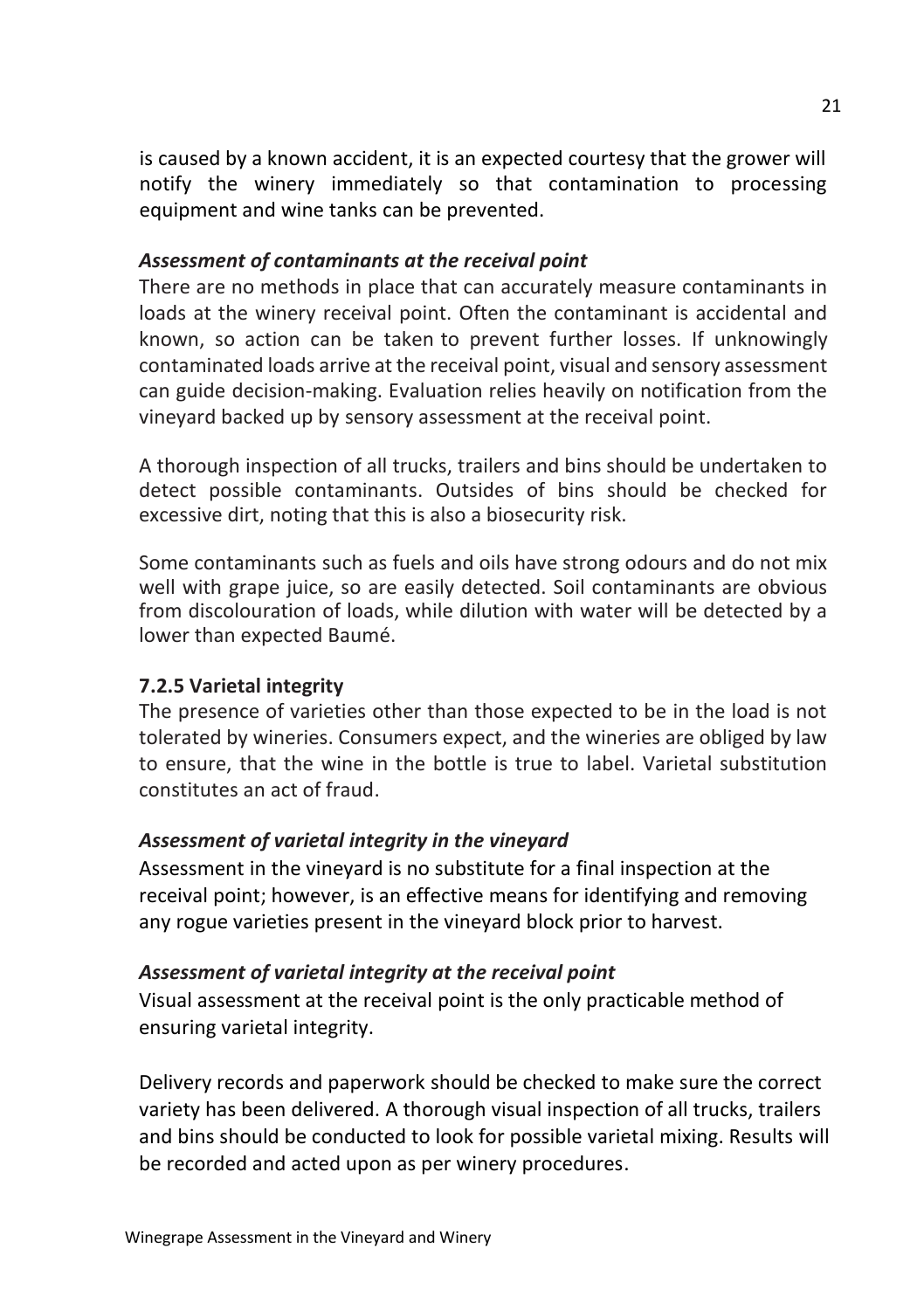is caused by a known accident, it is an expected courtesy that the grower will notify the winery immediately so that contamination to processing equipment and wine tanks can be prevented.

#### *Assessment of contaminants at the receival point*

There are no methods in place that can accurately measure contaminants in loads at the winery receival point. Often the contaminant is accidental and known, so action can be taken to prevent further losses. If unknowingly contaminated loads arrive at the receival point, visual and sensory assessment can guide decision-making. Evaluation relies heavily on notification from the vineyard backed up by sensory assessment at the receival point.

A thorough inspection of all trucks, trailers and bins should be undertaken to detect possible contaminants. Outsides of bins should be checked for excessive dirt, noting that this is also a biosecurity risk.

Some contaminants such as fuels and oils have strong odours and do not mix well with grape juice, so are easily detected. Soil contaminants are obvious from discolouration of loads, while dilution with water will be detected by a lower than expected Baumé.

#### **7.2.5 Varietal integrity**

The presence of varieties other than those expected to be in the load is not tolerated by wineries. Consumers expect, and the wineries are obliged by law to ensure, that the wine in the bottle is true to label. Varietal substitution constitutes an act of fraud.

#### *Assessment of varietal integrity in the vineyard*

Assessment in the vineyard is no substitute for a final inspection at the receival point; however, is an effective means for identifying and removing any rogue varieties present in the vineyard block prior to harvest.

#### *Assessment of varietal integrity at the receival point*

Visual assessment at the receival point is the only practicable method of ensuring varietal integrity.

Delivery records and paperwork should be checked to make sure the correct variety has been delivered. A thorough visual inspection of all trucks, trailers and bins should be conducted to look for possible varietal mixing. Results will be recorded and acted upon as per winery procedures.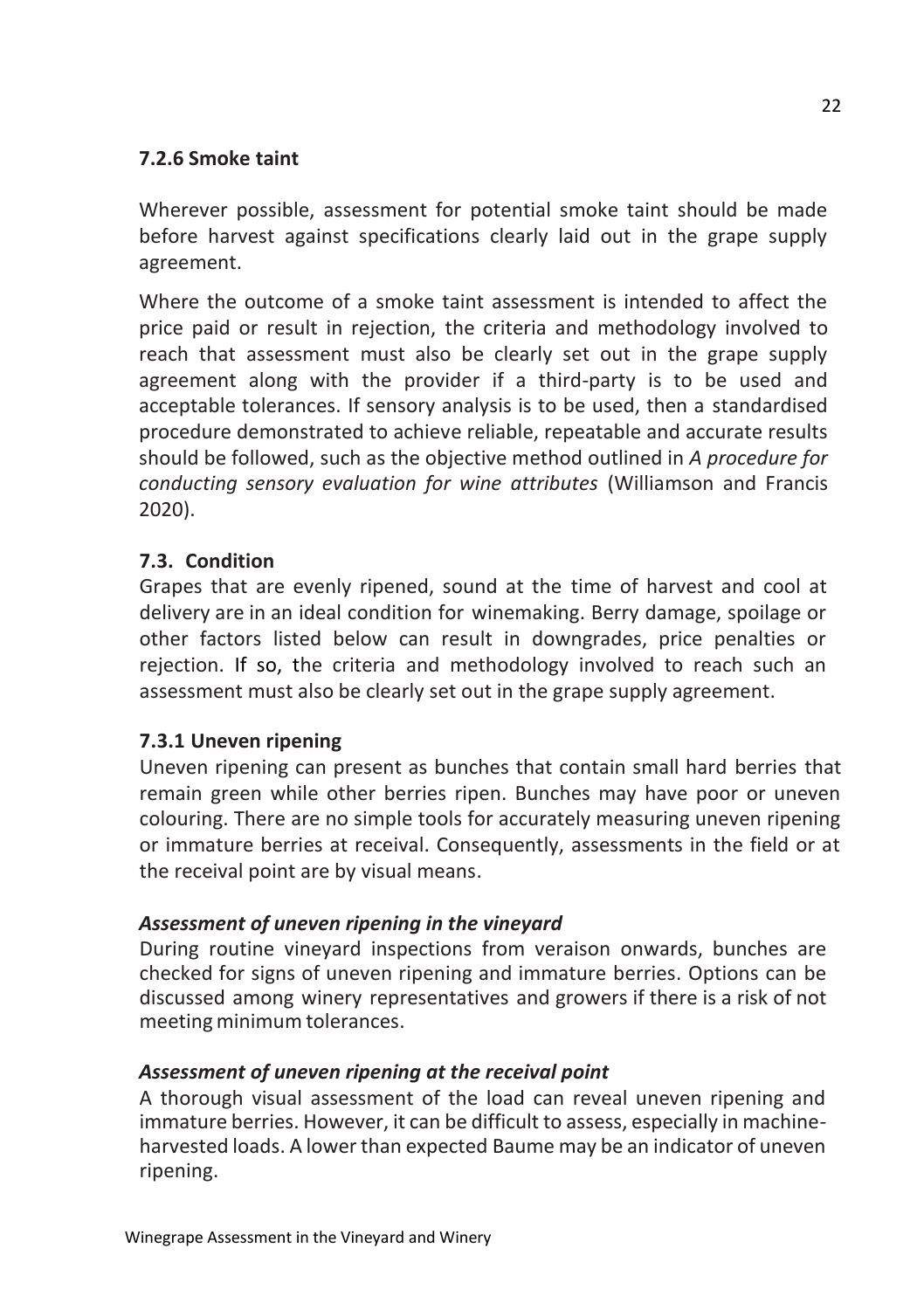#### **7.2.6 Smoke taint**

Wherever possible, assessment for potential smoke taint should be made before harvest against specifications clearly laid out in the grape supply agreement.

Where the outcome of a smoke taint assessment is intended to affect the price paid or result in rejection, the criteria and methodology involved to reach that assessment must also be clearly set out in the grape supply agreement along with the provider if a third-party is to be used and acceptable tolerances. If sensory analysis is to be used, then a standardised procedure demonstrated to achieve reliable, repeatable and accurate results should be followed, such as the objective method outlined in *A procedure for conducting sensory evaluation for wine attributes* (Williamson and Francis 2020).

#### **7.3. Condition**

Grapes that are evenly ripened, sound at the time of harvest and cool at delivery are in an ideal condition for winemaking. Berry damage, spoilage or other factors listed below can result in downgrades, price penalties or rejection. If so, the criteria and methodology involved to reach such an assessment must also be clearly set out in the grape supply agreement.

#### **7.3.1 Uneven ripening**

Uneven ripening can present as bunches that contain small hard berries that remain green while other berries ripen. Bunches may have poor or uneven colouring. There are no simple tools for accurately measuring uneven ripening or immature berries at receival. Consequently, assessments in the field or at the receival point are by visual means.

#### *Assessment of uneven ripening in the vineyard*

During routine vineyard inspections from veraison onwards, bunches are checked for signs of uneven ripening and immature berries. Options can be discussed among winery representatives and growers if there is a risk of not meeting minimum tolerances.

#### *Assessment of uneven ripening at the receival point*

A thorough visual assessment of the load can reveal uneven ripening and immature berries. However, it can be difficult to assess, especially in machineharvested loads. A lower than expected Baume may be an indicator of uneven ripening.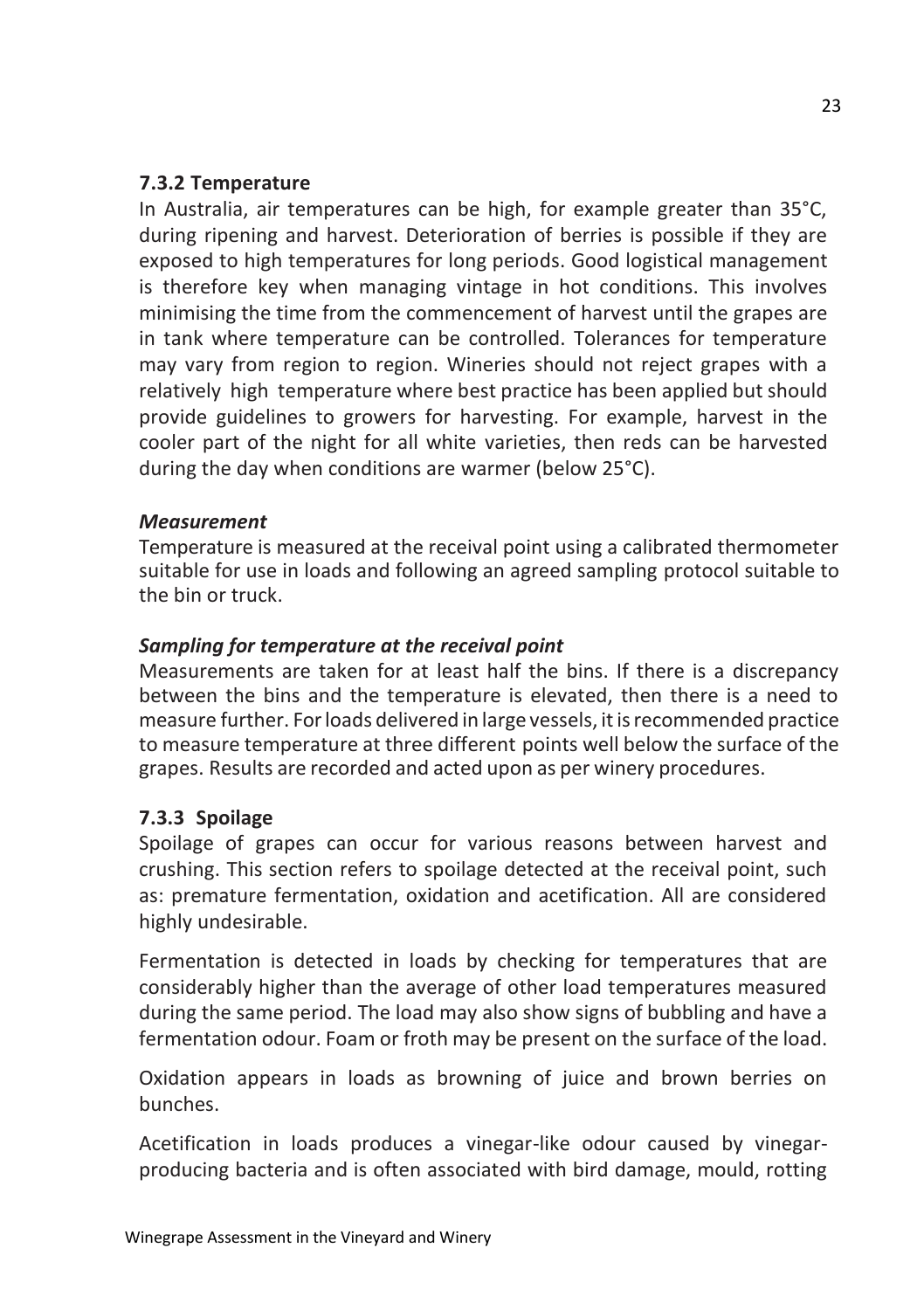#### **7.3.2 Temperature**

In Australia, air temperatures can be high, for example greater than 35°C, during ripening and harvest. Deterioration of berries is possible if they are exposed to high temperatures for long periods. Good logistical management is therefore key when managing vintage in hot conditions. This involves minimising the time from the commencement of harvest until the grapes are in tank where temperature can be controlled. Tolerances for temperature may vary from region to region. Wineries should not reject grapes with a relatively high temperature where best practice has been applied but should provide guidelines to growers for harvesting. For example, harvest in the cooler part of the night for all white varieties, then reds can be harvested during the day when conditions are warmer (below 25°C).

#### *Measurement*

Temperature is measured at the receival point using a calibrated thermometer suitable for use in loads and following an agreed sampling protocol suitable to the bin or truck.

#### *Sampling for temperature at the receival point*

Measurements are taken for at least half the bins. If there is a discrepancy between the bins and the temperature is elevated, then there is a need to measure further. Forloads delivered in large vessels, itisrecommended practice to measure temperature at three different points well below the surface of the grapes. Results are recorded and acted upon as per winery procedures.

#### **7.3.3 Spoilage**

Spoilage of grapes can occur for various reasons between harvest and crushing. This section refers to spoilage detected at the receival point, such as: premature fermentation, oxidation and acetification. All are considered highly undesirable.

Fermentation is detected in loads by checking for temperatures that are considerably higher than the average of other load temperatures measured during the same period. The load may also show signs of bubbling and have a fermentation odour. Foam or froth may be present on the surface of the load.

Oxidation appears in loads as browning of juice and brown berries on bunches.

Acetification in loads produces a vinegar-like odour caused by vinegarproducing bacteria and is often associated with bird damage, mould, rotting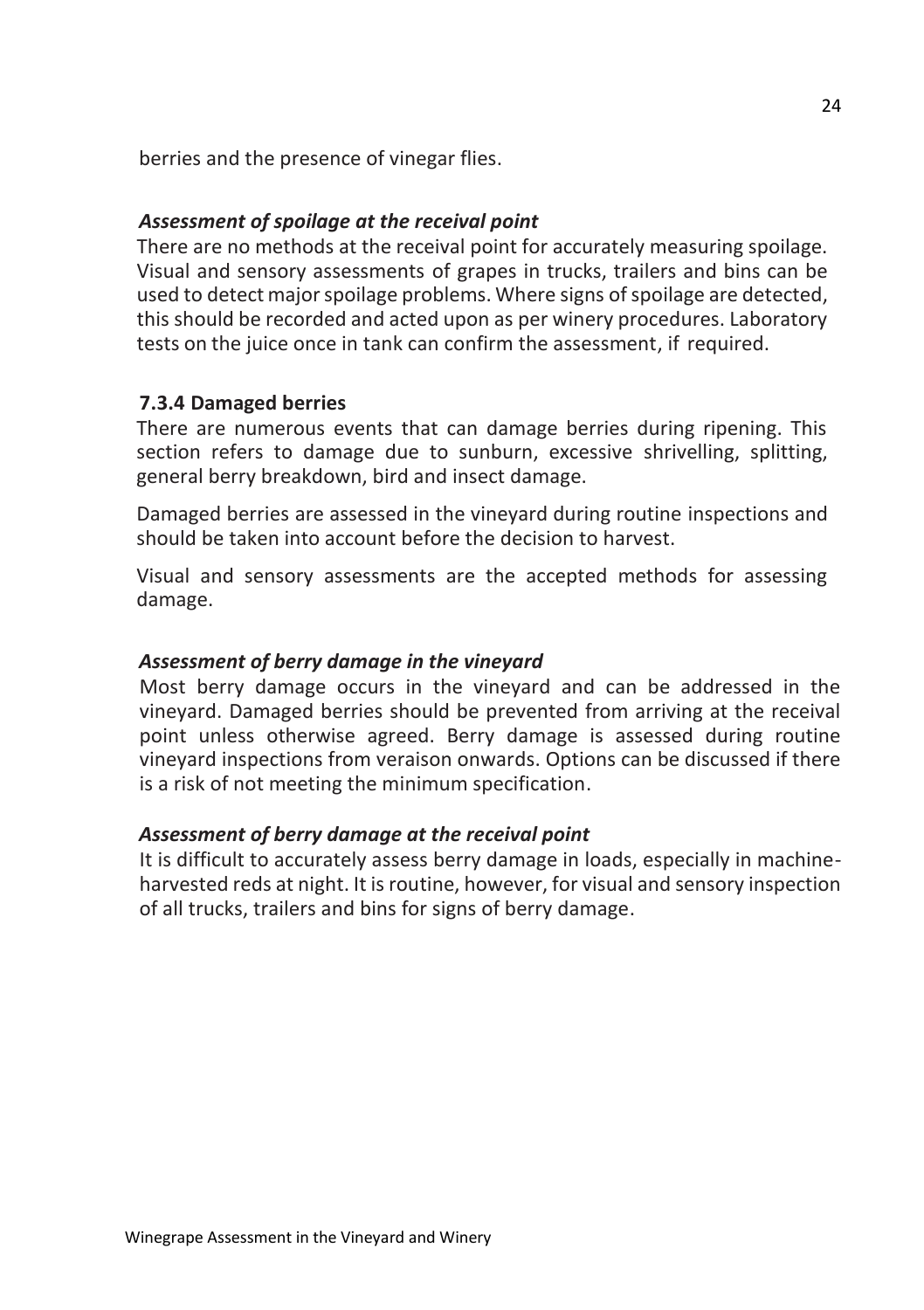berries and the presence of vinegar flies.

#### *Assessment of spoilage at the receival point*

There are no methods at the receival point for accurately measuring spoilage. Visual and sensory assessments of grapes in trucks, trailers and bins can be used to detect majorspoilage problems. Where signs of spoilage are detected, this should be recorded and acted upon as per winery procedures. Laboratory tests on the juice once in tank can confirm the assessment, if required.

#### **7.3.4 Damaged berries**

There are numerous events that can damage berries during ripening. This section refers to damage due to sunburn, excessive shrivelling, splitting, general berry breakdown, bird and insect damage.

Damaged berries are assessed in the vineyard during routine inspections and should be taken into account before the decision to harvest.

Visual and sensory assessments are the accepted methods for assessing damage.

#### *Assessment of berry damage in the vineyard*

Most berry damage occurs in the vineyard and can be addressed in the vineyard. Damaged berries should be prevented from arriving at the receival point unless otherwise agreed. Berry damage is assessed during routine vineyard inspections from veraison onwards. Options can be discussed if there is a risk of not meeting the minimum specification.

#### *Assessment of berry damage at the receival point*

It is difficult to accurately assess berry damage in loads, especially in machineharvested reds at night. It is routine, however, for visual and sensory inspection of all trucks, trailers and bins for signs of berry damage.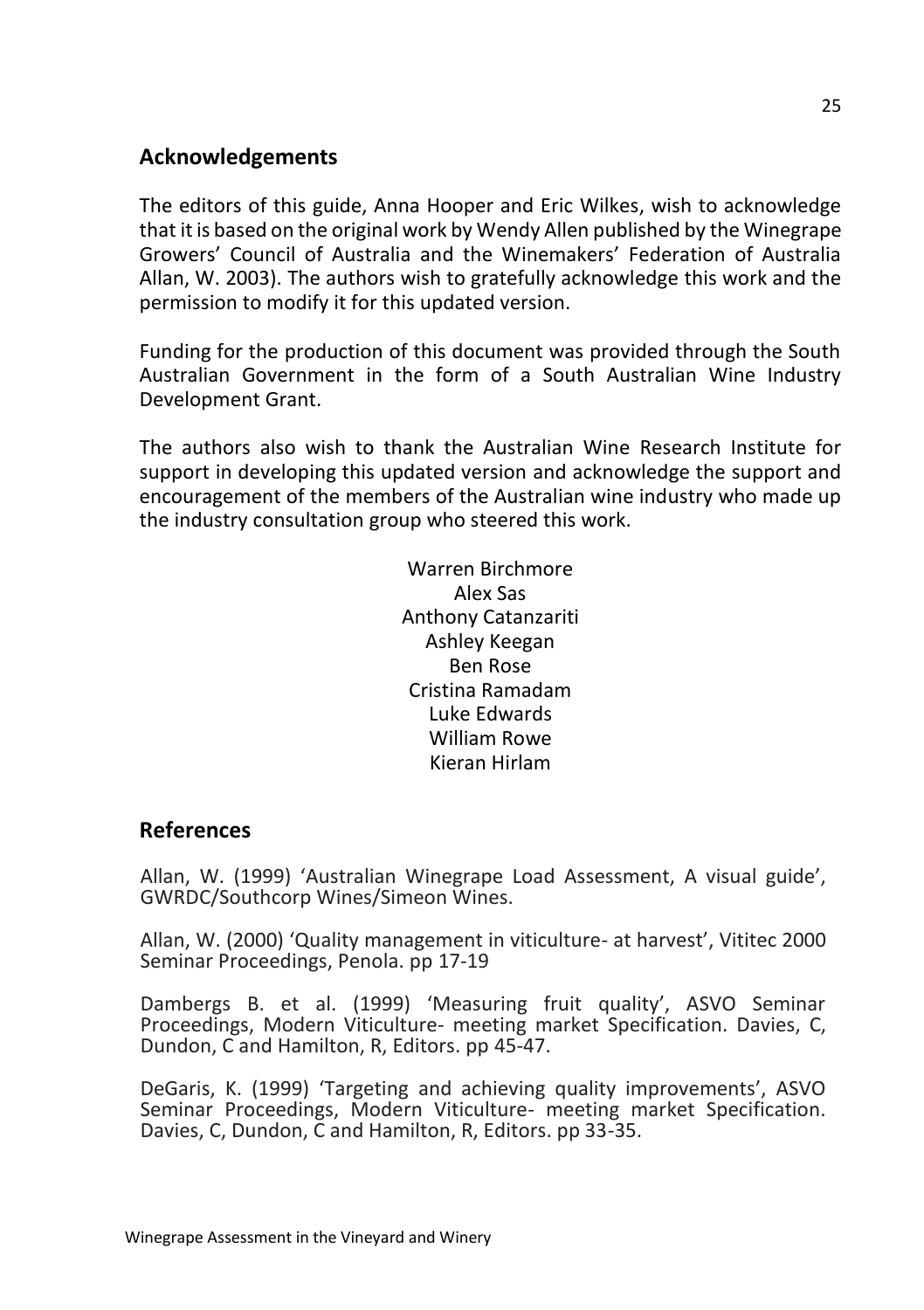#### **Acknowledgements**

The editors of this guide, Anna Hooper and Eric Wilkes, wish to acknowledge that it is based on the original work by Wendy Allen published by the Winegrape Growers' Council of Australia and the Winemakers' Federation of Australia Allan, W. 2003). The authors wish to gratefully acknowledge this work and the permission to modify it for this updated version.

Funding for the production of this document was provided through the South Australian Government in the form of a South Australian Wine Industry Development Grant.

The authors also wish to thank the Australian Wine Research Institute for support in developing this updated version and acknowledge the support and encouragement of the members of the Australian wine industry who made up the industry consultation group who steered this work.

> Warren Birchmore Alex Sas Anthony Catanzariti Ashley Keegan Ben Rose Cristina Ramadam Luke Edwards William Rowe Kieran Hirlam

#### **References**

Allan, W. (1999) 'Australian Winegrape Load Assessment, A visual guide', GWRDC/Southcorp Wines/Simeon Wines.

Allan, W. (2000) 'Quality management in viticulture- at harvest', Vititec 2000 Seminar Proceedings, Penola. pp 17-19

Dambergs B. et al. (1999) 'Measuring fruit quality', ASVO Seminar Proceedings, Modern Viticulture- meeting market Specification. Davies, C, Dundon, C and Hamilton, R, Editors. pp 45-47.

DeGaris, K. (1999) 'Targeting and achieving quality improvements', ASVO Seminar Proceedings, Modern Viticulture- meeting market Specification. Davies, C, Dundon, C and Hamilton, R, Editors. pp 33-35.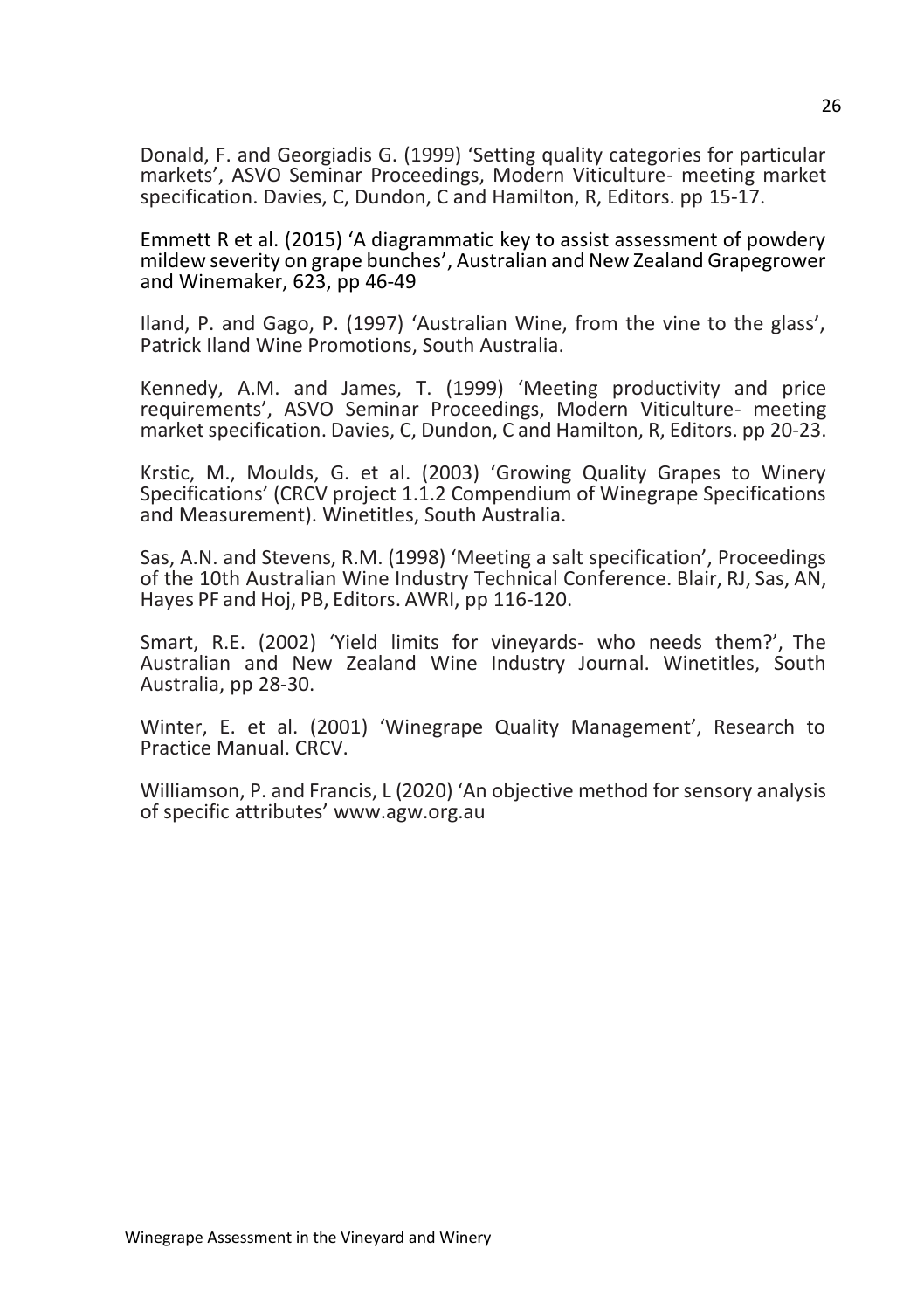Donald, F. and Georgiadis G. (1999) 'Setting quality categories for particular markets', ASVO Seminar Proceedings, Modern Viticulture- meeting market specification. Davies, C, Dundon, C and Hamilton, R, Editors. pp 15-17.

Emmett R et al. (2015) 'A diagrammatic key to assist assessment of powdery mildew severity on grape bunches', Australian and New Zealand Grapegrower and Winemaker, 623, pp 46-49

Iland, P. and Gago, P. (1997) 'Australian Wine, from the vine to the glass', Patrick Iland Wine Promotions, South Australia.

Kennedy, A.M. and James, T. (1999) 'Meeting productivity and price requirements', ASVO Seminar Proceedings, Modern Viticulture- meeting market specification. Davies, C, Dundon, C and Hamilton, R, Editors. pp 20-23.

Krstic, M., Moulds, G. et al. (2003) 'Growing Quality Grapes to Winery Specifications' (CRCV project 1.1.2 Compendium of Winegrape Specifications and Measurement). Winetitles, South Australia.

Sas, A.N. and Stevens, R.M. (1998) 'Meeting a salt specification', Proceedings of the 10th Australian Wine Industry Technical Conference. Blair, RJ, Sas, AN, Hayes PF and Hoj, PB, Editors. AWRI, pp 116-120.

Smart, R.E. (2002) 'Yield limits for vineyards- who needs them?', The Australian and New Zealand Wine Industry Journal. Winetitles, South Australia, pp 28-30.

Winter, E. et al. (2001) 'Winegrape Quality Management', Research to Practice Manual. CRCV.

Williamson, P. and Francis, L (2020) 'An objective method for sensory analysis of specific attributes' www.agw.org.au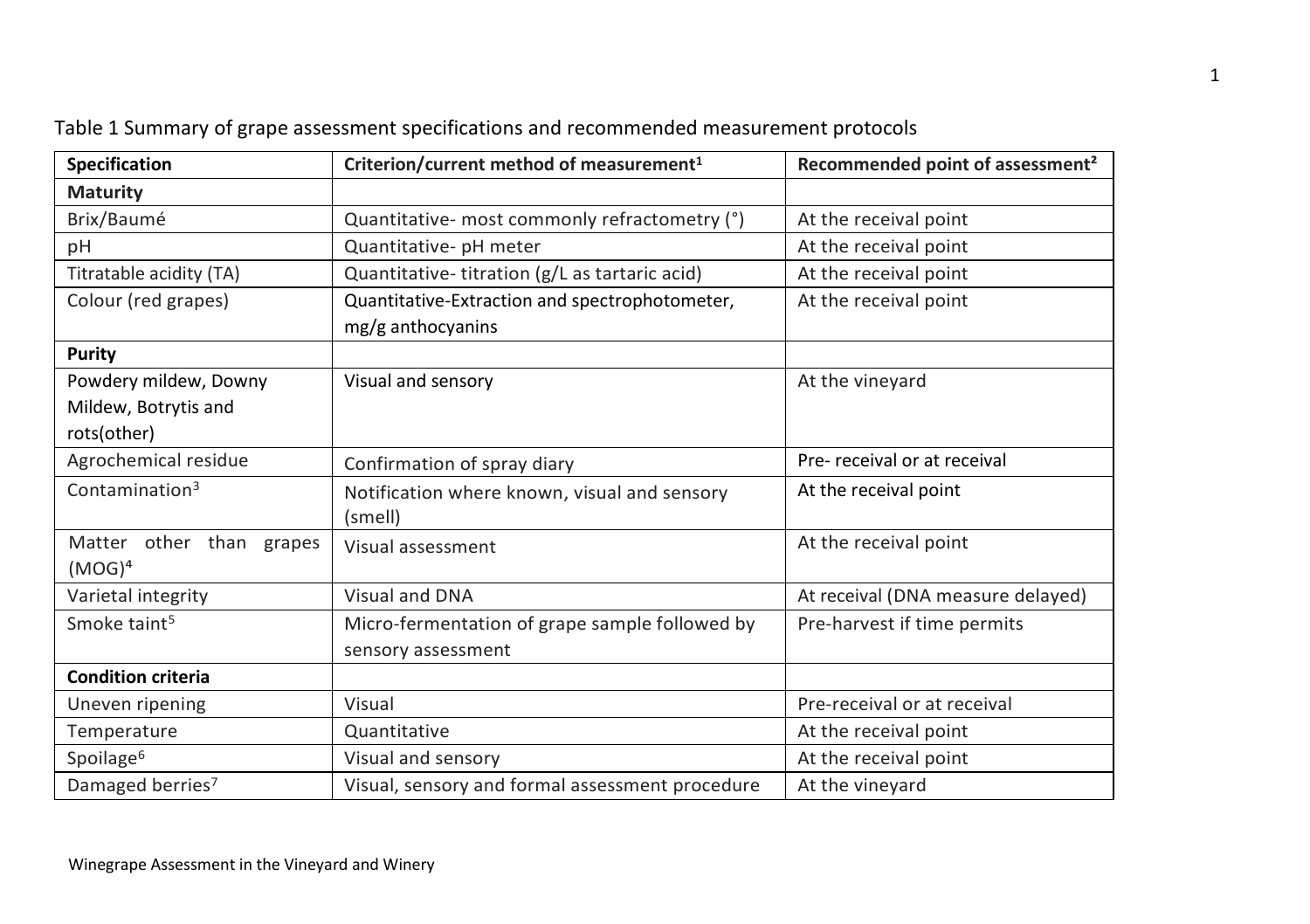| <b>Specification</b>        | Criterion/current method of measurement <sup>1</sup> | Recommended point of assessment <sup>2</sup> |
|-----------------------------|------------------------------------------------------|----------------------------------------------|
| <b>Maturity</b>             |                                                      |                                              |
| Brix/Baumé                  | Quantitative- most commonly refractometry (°)        | At the receival point                        |
| рH                          | Quantitative- pH meter                               | At the receival point                        |
| Titratable acidity (TA)     | Quantitative-titration (g/L as tartaric acid)        | At the receival point                        |
| Colour (red grapes)         | Quantitative-Extraction and spectrophotometer,       | At the receival point                        |
|                             | mg/g anthocyanins                                    |                                              |
| Purity                      |                                                      |                                              |
| Powdery mildew, Downy       | Visual and sensory                                   | At the vineyard                              |
| Mildew, Botrytis and        |                                                      |                                              |
| rots(other)                 |                                                      |                                              |
| Agrochemical residue        | Confirmation of spray diary                          | Pre-receival or at receival                  |
| Contamination <sup>3</sup>  | Notification where known, visual and sensory         | At the receival point                        |
|                             | (smell)                                              |                                              |
| Matter other than<br>grapes | Visual assessment                                    | At the receival point                        |
| $(MOG)^4$                   |                                                      |                                              |
| Varietal integrity          | Visual and DNA                                       | At receival (DNA measure delayed)            |
| Smoke taint <sup>5</sup>    | Micro-fermentation of grape sample followed by       | Pre-harvest if time permits                  |
|                             | sensory assessment                                   |                                              |
| <b>Condition criteria</b>   |                                                      |                                              |
| Uneven ripening             | Visual                                               | Pre-receival or at receival                  |
| Temperature                 | Quantitative                                         | At the receival point                        |
| Spoilage <sup>6</sup>       | Visual and sensory                                   | At the receival point                        |
| Damaged berries7            | Visual, sensory and formal assessment procedure      | At the vineyard                              |